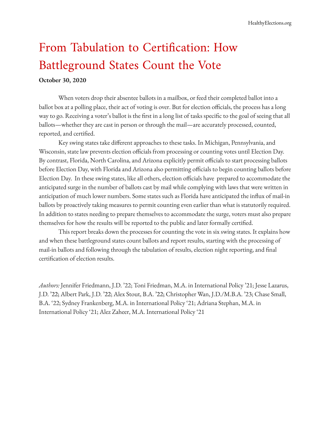# From Tabulation to Certification: How Battleground States Count the Vote

#### **October 30, 2020**

When voters drop their absentee ballots in a mailbox, or feed their completed ballot into a ballot box at a polling place, their act of voting is over. But for election officials, the process has a long way to go. Receiving a voter's ballot is the first in a long list of tasks specific to the goal of seeing that all ballots—whether they are cast in person or through the mail—are accurately processed, counted, reported, and certified.

Key swing states take different approaches to these tasks. In Michigan, Pennsylvania, and Wisconsin, state law prevents election officials from processing or counting votes until Election Day. By contrast, Florida, North Carolina, and Arizona explicitly permit officials to start processing ballots before Election Day, with Florida and Arizona also permitting officials to begin counting ballots before Election Day. In these swing states, like all others, election officials have prepared to accommodate the anticipated surge in the number of ballots cast by mail while complying with laws that were written in anticipation of much lower numbers. Some states such as Florida have anticipated the influx of mail-in ballots by proactively taking measures to permit counting even earlier than what is statutorily required. In addition to states needing to prepare themselves to accommodate the surge, voters must also prepare themselves for how the results will be reported to the public and later formally certified.

This report breaks down the processes for counting the vote in six swing states. It explains how and when these battleground states count ballots and report results, starting with the processing of mail-in ballots and following through the tabulation of results, election night reporting, and final certification of election results.

*Authors:* Jennifer Friedmann, J.D. '22; Toni Friedman, M.A. in International Policy '21; Jesse Lazarus, J.D. '22; Albert Park, J.D. '22; Alex Stout, B.A. '22; Christopher Wan, J.D./M.B.A. '23; Chase Small, B.A. '22; Sydney Frankenberg, M.A. in International Policy '21; Adriana Stephan, M.A. in International Policy '21; Alez Zaheer, M.A. International Policy '21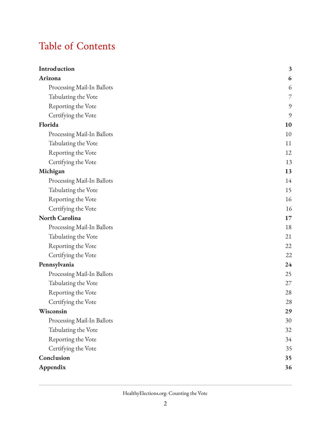# Table of Contents

| Introduction               | 3              |
|----------------------------|----------------|
| Arizona                    | 6              |
| Processing Mail-In Ballots | 6              |
| Tabulating the Vote        | $\overline{7}$ |
| Reporting the Vote         | $\mathfrak{I}$ |
| Certifying the Vote        | 9              |
| Florida                    | 10             |
| Processing Mail-In Ballots | 10             |
| Tabulating the Vote        | 11             |
| Reporting the Vote         | 12             |
| Certifying the Vote        | 13             |
| Michigan                   | 13             |
| Processing Mail-In Ballots | 14             |
| Tabulating the Vote        | 15             |
| Reporting the Vote         | 16             |
| Certifying the Vote        | 16             |
| <b>North Carolina</b>      | 17             |
| Processing Mail-In Ballots | 18             |
| Tabulating the Vote        | 21             |
| Reporting the Vote         | 22             |
| Certifying the Vote        | 22             |
| Pennsylvania               | 24             |
| Processing Mail-In Ballots | 25             |
| Tabulating the Vote        | 27             |
| Reporting the Vote         | 28             |
| Certifying the Vote        | 28             |
| Wisconsin                  | 29             |
| Processing Mail-In Ballots | 30             |
| Tabulating the Vote        | 32             |
| Reporting the Vote         | 34             |
| Certifying the Vote        | 35             |
| Conclusion                 | 35             |
| Appendix                   | 36             |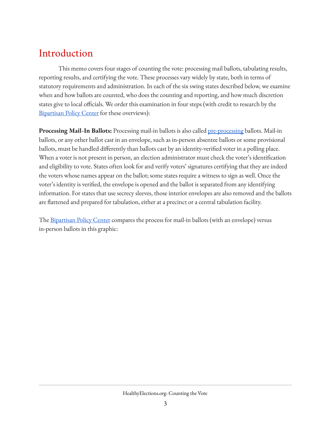# <span id="page-2-0"></span>Introduction

This memo covers four stages of counting the vote: processing mail ballots, tabulating results, reporting results, and certifying the vote. These processes vary widely by state, both in terms of statutory requirements and administration. In each of the six swing states described below, we examine when and how ballots are counted, who does the counting and reporting, and how much discretion states give to local officials. We order this examination in four steps (with credit to research by the [Bipartisan](https://bipartisanpolicy.org/report/counting-the-vote-during-the-2020-election/) Policy Center for these overviews):

**Processing Mail-In Ballots:** Processing mail-in ballots is also called [pre-processing](https://www.nytimes.com/interactive/2020/10/13/us/politics/when-votes-counted.html) ballots. Mail-in ballots, or any other ballot cast in an envelope, such as in-person absentee ballots or some provisional ballots, must be handled differently than ballots cast by an identity-verified voter in a polling place. When a voter is not present in person, an election administrator must check the voter's identification and eligibility to vote. States often look for and verify voters' signatures certifying that they are indeed the voters whose names appear on the ballot; some states require a witness to sign as well. Once the voter's identity is verified, the envelope is opened and the ballot is separated from any identifying information. For states that use secrecy sleeves, those interior envelopes are also removed and the ballots are flattened and prepared for tabulation, either at a precinct or a central tabulation facility.

The [Bipartisan](https://bipartisanpolicy.org/report/counting-the-vote-during-the-2020-election/) Policy Center compares the process for mail-in ballots (with an envelope) versus in-person ballots in this graphic: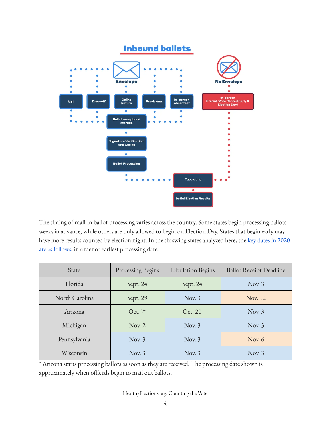

The timing of mail-in ballot processing varies across the country. Some states begin processing ballots weeks in advance, while others are only allowed to begin on Election Day. States that begin early may have more results counted by election night. In the six swing states analyzed here, the key [dates](https://www.nytimes.com/interactive/2020/10/13/us/politics/when-votes-counted.html) in 2020 are as [follows,](https://www.ncsl.org/research/elections-and-campaigns/vopp-table-16-when-absentee-mail-ballot-processing-and-counting-can-begin.aspx) in order of earliest processing date:

| State          | Processing Begins | <b>Tabulation Begins</b> | <b>Ballot Receipt Deadline</b> |
|----------------|-------------------|--------------------------|--------------------------------|
| Florida        | Sept. 24          | Sept. 24                 | Nov. $3$                       |
| North Carolina | Sept. 29          | Nov. $3$                 | Nov. 12                        |
| Arizona        | $Oct. 7*$         | Oct. 20                  | Nov. $3$                       |
| Michigan       | Nov. $2$          | Nov. $3$                 | Nov. $3$                       |
| Pennsylvania   | Nov. $3$          | Nov. $3$                 | Nov. $6$                       |
| Wisconsin      | Nov. $3$          | Nov. $3$                 | Nov. $3$                       |

\* Arizona starts processing ballots as soon as they are received. The processing date shown is approximately when officials begin to mail out ballots.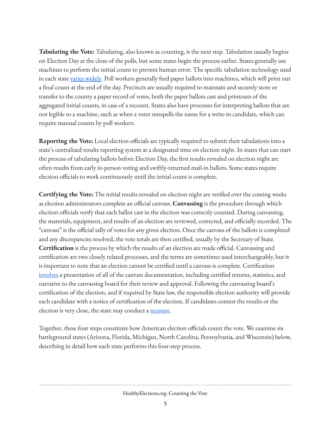**Tabulating the Vote:** Tabulating, also known as counting, is the next step. Tabulation usually begins on Election Day at the close of the polls, but some states begin the process earlier. States generally use machines to perform the initial count to prevent human error. The specific tabulation technology used in each state varies [widely.](https://verifiedvoting.org/verifier/#mode/navigate/map/ppEquip/mapType/normal/year/2020) Poll workers generally feed paper ballots into machines, which will print out a final count at the end of the day. Precincts are usually required to maintain and securely store or transfer to the county a paper record of votes, both the paper ballots cast and printouts of the aggregated initial counts, in case of a recount. States also have processes for interpreting ballots that are not legible to a machine, such as when a voter misspells the name for a write-in candidate, which can require manual counts by poll workers.

**Reporting the Vote:** Local election officials are typically required to submit their tabulations into a state's centralized results reporting system at a designated time on election night. In states that can start the process of tabulating ballots before Election Day, the first results revealed on election night are often results from early in-person voting and swiftly-returned mail-in ballots. Some states require election officials to work continuously until the initial count is complete.

**Certifying the Vote:** The initial results revealed on election night are verified over the coming weeks as election administrators complete an official canvass. **Canvassing** is the procedure through which election officials verify that each ballot cast in the election was correctly counted. During canvassing, the materials, equipment, and results of an election are reviewed, corrected, and officially recorded. The "canvass" is the official tally of votes for any given election. Once the canvass of the ballots is completed and any discrepancies resolved, the vote totals are then certified, usually by the Secretary of State. **Certification** is the process by which the results of an election are made official. Canvassing and certification are two closely related processes, and the terms are sometimes used interchangeably, but it is important to note that an election cannot be certified until a canvass is complete. Certification [involves](https://www.eac.gov/sites/default/files/eac_assets/1/6/EMG_chapt_13_august_26_2010.pdf) a presentation of all of the canvass documentation, including certified returns, statistics, and narrative to the canvassing board for their review and approval. Following the canvassing board's certification of the election, and if required by State law, the responsible election authority will provide each candidate with a notice of certification of the election. If candidates contest the results or the election is very close, the state may conduct a [recount.](https://ceimn.org/searchable-databases/recount-database)

Together, these four steps constitute how American election officials count the vote. We examine six battleground states (Arizona, Florida, Michigan, North Carolina, Pennsylvania, and Wisconsin) below, describing in detail how each state performs this four-step process.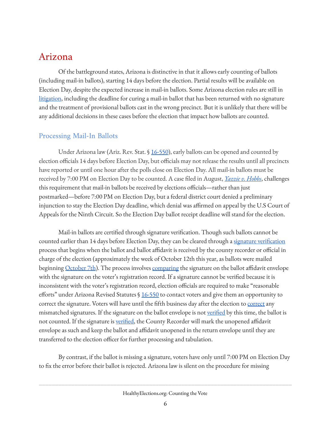# <span id="page-5-0"></span>Arizona

Of the battleground states, Arizona is distinctive in that it allows early counting of ballots (including mail-in ballots), starting 14 days before the election. Partial results will be available on Election Day, despite the expected increase in mail-in ballots. Some Arizona election rules are still in [litigation](https://healthyelections.org/sites/default/files/2020-09/Arizona%208_4%20Primary%20Supplemental%20Memo.pdf), including the deadline for curing a mail-in ballot that has been returned with no signature and the treatment of provisional ballots cast in the wrong precinct. But it is unlikely that there will be any additional decisions in these cases before the election that impact how ballots are counted.

#### <span id="page-5-1"></span>Processing Mail-In Ballots

Under Arizona law (Ariz. Rev. Stat. § [16-550](https://www.azleg.gov/ars/16/00550.htm)), early ballots can be opened and counted by election officials 14 days before Election Day, but officials may not release the results until all precincts have reported or until one hour after the polls close on Election Day. All mail-in ballots must be received by 7:00 PM on Election Day to be counted. A case filed in August, *[Yazzie](https://healthyelections-case-tracker.stanford.edu/detail?id=201) v. Hobbs*, challenges this requirement that mail-in ballots be received by elections officials—rather than just postmarked—before 7:00 PM on Election Day, but a federal district court denied a preliminary injunction to stay the Election Day deadline, which denial was affirmed on appeal by the U.S Court of Appeals for the Ninth Circuit. So the Election Day ballot receipt deadline will stand for the election.

Mail-in ballots are certified through signature verification. Though such ballots cannot be counted earlier than 14 days before Election Day, they can be cleared through a signature verification process that begins when the ballot and ballot affidavit is received by the county recorder or official in charge of the election (approximately the week of October 12th this year, as ballots were mailed beginning <u>[October](https://www.12news.com/article/news/politics/elections/faqs-about-the-2020-election/75-3e879064-b14b-43e8-964e-f8a1a64111b3) 7th</u>). The process involves <u>[comparing](https://www.azleg.gov/ars/16/00550.htm)</u> the signature on the ballot affidavit envelope with the signature on the voter's registration record. If a signature cannot be verified because it is inconsistent with the voter's registration record, election officials are required to make "reasonable efforts" under Arizona Revised Statutes  $\S 16-550$  $\S 16-550$  to contact voters and give them an opportunity to [correct](https://www.azleg.gov/ars/16/00550.htm) the signature. Voters will have until the fifth business day after the election to correct any mismatched signatures. If the signature on the ballot envelope is not verified by this time, the ballot is not counted. If the signature is verified, the County Recorder will mark the unopened affidavit envelope as such and keep the ballot and affidavit unopened in the return envelope until they are transferred to the election officer for further processing and tabulation.

By contrast, if the ballot is missing a signature, voters have only until 7:00 PM on Election Day to fix the error before their ballot is rejected. Arizona law is silent on the procedure for missing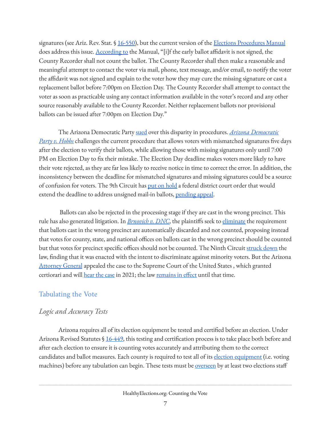signatures (see Ariz. Rev. Stat. § [16-550\)](https://www.azleg.gov/ars/16/00550.htm), but the current version of the Elections [Procedures](https://azsos.gov/sites/default/files/2019_ELECTIONS_PROCEDURES_MANUAL_APPROVED.pdf) Manual does address this issue. [According](https://azsos.gov/sites/default/files/2019_ELECTIONS_PROCEDURES_MANUAL_APPROVED.pdf) to the Manual, "[i]f the early ballot affidavit is not signed, the County Recorder shall not count the ballot. The County Recorder shall then make a reasonable and meaningful attempt to contact the voter via mail, phone, text message, and/or email, to notify the voter the affidavit was not signed and explain to the voter how they may cure the missing signature or cast a replacement ballot before 7:00pm on Election Day. The County Recorder shall attempt to contact the voter as soon as practicable using any contact information available in the voter's record and any other source reasonably available to the County Recorder. Neither replacement ballots nor provisional ballots can be issued after 7:00pm on Election Day."

The Arizona Democratic Party [sued](https://www.democracydocket.com/wp-content/uploads/sites/41/2020/06/AZ_Filed_Complaint.pdf) over this disparity in procedures. *Arizona [Democratic](https://healthyelections.org/sites/default/files/2020-09/Arizona%208_4%20Primary%20Supplemental%20Memo.pdf) Party v. [Hobbs](https://healthyelections.org/sites/default/files/2020-09/Arizona%208_4%20Primary%20Supplemental%20Memo.pdf)* challenges the current procedure that allows voters with mismatched signatures five days after the election to verify their ballots, while allowing those with missing signatures only until 7:00 PM on Election Day to fix their mistake. The Election Day deadline makes voters more likely to have their vote rejected, as they are far less likely to receive notice in time to correct the error. In addition, the inconsistency between the deadline for mismatched signatures and missing signatures could be a source of confusion for voters. The 9th Circuit has put on [hold](https://www.scotusblog.com/election-litigation/arizona-democratic-party-v-hobbs/) a federal district court order that would extend the deadline to address unsigned mail-in ballots, [pending](https://law.justia.com/cases/federal/appellate-courts/ca9/20-16759/20-16759-2020-10-06.html) appeal.

Ballots can also be rejected in the processing stage if they are cast in the wrong precinct. This rule has also generated litigation. In *[Brnovich](https://www.scotusblog.com/case-files/cases/brnovich-v-democratic-national-committee/) v. [DNC](https://www.scotusblog.com/case-files/cases/brnovich-v-democratic-national-committee/)*, the plaintiffs seek to [eliminate](https://healthyelections.org/sites/default/files/2020-09/Arizona%208_4%20Primary%20Supplemental%20Memo.pdf) the requirement that ballots cast in the wrong precinct are automatically discarded and not counted, proposing instead that votes for county, state, and national offices on ballots cast in the wrong precinct should be counted but that votes for precinct specific offices should not be counted. The Ninth Circuit [struck](https://www.democracydocket.com/wp-content/uploads/sites/45/2020/07/ArizonaVoting-9CA.pdf) down the law, finding that it was enacted with the intent to discriminate against minority voters. But the Arizona [Attorney](https://www.azag.gov/sites/default/files/docs/press-releases/2020/motions/dnc_Motion_to_Intervene.pdf) General appealed the case to the Supreme Court of the United States , which granted certiorari and will [hear](https://www.democracydocket.com/state/arizona/) the case in 2021; the law [remains](https://www.azag.gov/sites/default/files/2020-02/Ninth_Circuit_Grants_Stay_DNC_v_Hobbs.pdf) in effect until that time.

### <span id="page-6-0"></span>Tabulating the Vote

# *Logic and Accuracy Tests*

Arizona requires all of its election equipment be tested and certified before an election. Under Arizona Revised Statutes §  $16-449$ , this testing and certification process is to take place both before and after each election to ensure it is counting votes accurately and attributing them to the correct candidates and ballot measures. Each county is required to test all of its election [equipment](https://www.azcleanelections.gov/election-security/how-votes-are-counted) (i.e. voting machines) before any tabulation can begin. These tests must be [overseen](https://www.azcleanelections.gov/election-security/how-votes-are-counted) by at least two elections staff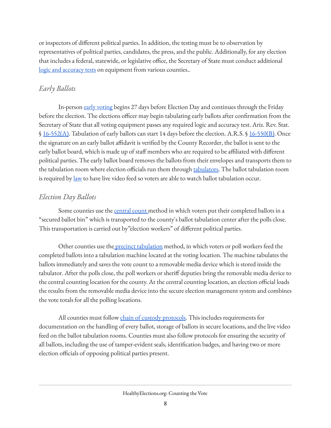or inspectors of different political parties. In addition, the testing must be to observation by representatives of political parties, candidates, the press, and the public. Additionally, for any election that includes a federal, statewide, or legislative office, the Secretary of State must conduct additional logic and [accuracy](https://www.azcleanelections.gov/election-security/how-votes-are-counted) tests on equipment from various counties..

# *Early Ballots*

In-person early [voting](https://www.azcleanelections.gov/election-security/how-votes-are-counted) begins 27 days before Election Day and continues through the Friday before the election. The elections officer may begin tabulating early ballots after confirmation from the Secretary of State that all voting equipment passes any required logic and accuracy test. Ariz. Rev. Stat. §  $16-552(A)$ . Tabulation of early ballots can start 14 days before the election. A.R.S. §  $16-550(B)$ . Once the signature on an early ballot affidavit is verified by the County Recorder, the ballot is sent to the early ballot board, which is made up of staff members who are required to be affiliated with different political parties. The early ballot board removes the ballots from their envelopes and transports them to the tabulation room where election officials run them through [tabulators](https://www.azcleanelections.gov/election-security/how-votes-are-counted). The ballot tabulation room is required by <u>[law](https://www.azleg.gov/ars/16/00621.htm)</u> to have live video feed so voters are able to watch ballot tabulation occur.

### *Election Day Ballots*

Some counties use the **[central](https://www.azcleanelections.gov/election-security/how-votes-are-counted) count** method in which voters put their completed ballots in a "secured ballot bin" which is transported to the county's ballot tabulation center after the polls close. This transportation is carried out by"election workers" of different political parties.

Other counties use the *precinct [tabulation](https://www.azcleanelections.gov/election-security/how-votes-are-counted)* method, in which voters or poll workers feed the completed ballots into a tabulation machine located at the voting location. The machine tabulates the ballots immediately and saves the vote count to a removable media device which is stored inside the tabulator. After the polls close, the poll workers or sheriff deputies bring the removable media device to the central counting location for the county. At the central counting location, an election official loads the results from the removable media device into the secure election management system and combines the vote totals for all the polling locations.

All counties must follow chain of custody [protocols.](https://www.azcleanelections.gov/election-security/how-votes-are-counted) This includes requirements for documentation on the handling of every ballot, storage of ballots in secure locations, and the live video feed on the ballot tabulation rooms. Counties must also follow protocols for ensuring the security of all ballots, including the use of tamper-evident seals, identification badges, and having two or more election officials of opposing political parties present.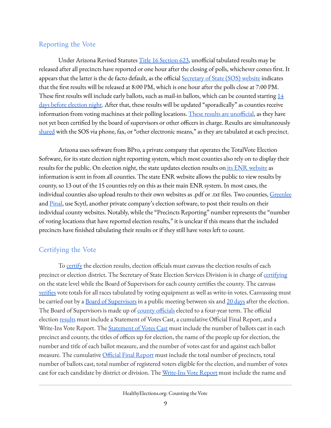#### <span id="page-8-0"></span>Reporting the Vote

Under Arizona Revised Statutes Title 16 [Section](https://www.azleg.gov/viewdocument/?docName=https://www.azleg.gov/ars/16/00551.htm) 623, unofficial tabulated results may be released after all precincts have reported or one hour after the closing of polls, whichever comes first. It appears that the latter is the de facto default, as the official [Secretary](https://azsos.gov/election-night-results-help) of State (SOS) website indicates that the first results will be released at 8:00 PM, which is one hour after the polls close at 7:00 PM. These first results will include early ballots, such as mail-in ballots, which can be counted starting  $14$ days before [election](https://www.azcleanelections.gov/election-security/the-security-of-voting-by-mail) night. After that, these results will be updated "sporadically" as counties receive information from voting machines at their polling locations. These results are unofficial, as they have not yet been certified by the board of supervisors or other officers in charge. Results are simultaneously [shared](https://www.azleg.gov/viewdocument/?docName=https://www.azleg.gov/ars/16/00622.htm) with the SOS via phone, fax, or "other electronic means," as they are tabulated at each precinct.

Arizona uses software from BPro, a private company that operates the TotalVote Election Software, for its state election night reporting system, which most counties also rely on to display their results for the public. On election night, the state updates election results on *its ENR [website](https://results.arizona.vote/)* as information is sent in from all counties. The state ENR website allows the public to view results by county, so 13 out of the 15 counties rely on this as their main ENR system. In most cases, the individual counties also upload results to their own websites as .pdf or .txt files. Two counties, [Greenlee](https://results.enr.clarityelections.com/AZ/Greenlee/104756/web.255599/#/summary) and [Pinal,](https://results.enr.clarityelections.com/AZ/Pinal/104398/web.255599/#/summary) use Scytl, another private company's election software, to post their results on their individual county websites. Notably, while the "Precincts Reporting" number represents the "number of voting locations that have reported election results," it is unclear if this means that the included precincts have finished tabulating their results or if they still have votes left to count.

#### <span id="page-8-1"></span>Certifying the Vote

To [certify](https://azsos.gov/sites/default/files/2019_ELECTIONS_PROCEDURES_MANUAL_APPROVED.pdf) the election results, election officials must canvass the election results of each precinct or election district. The Secretary of State Election Services Division is in charge of [certifying](https://www.azcleanelections.gov/election-security/how-elections-work) on the state level while the Board of Supervisors for each county certifies the county. The canvass verifies vote totals for all races tabulated by voting equipment as well as write-in votes. Canvassing must be carried out by a **Board of [Supervisors](https://azsos.gov/sites/default/files/2019_ELECTIONS_PROCEDURES_MANUAL_APPROVED.pdf)** in a public meeting between six and 20 [days](https://www.azleg.gov/ars/16/00642.htm) after the election. The Board of Supervisors is made up of county officials elected to a four-year term. The official election [results](https://azsos.gov/sites/default/files/2019_ELECTIONS_PROCEDURES_MANUAL_APPROVED.pdf) must include a Statement of Votes Cast, a cumulative Official Final Report, and a Write-Ins Vote Report. The **[Statement](https://azsos.gov/sites/default/files/2019_ELECTIONS_PROCEDURES_MANUAL_APPROVED.pdf) of Votes Cast** must include the number of ballots cast in each precinct and county, the titles of offices up for election, the name of the people up for election, the number and title of each ballot measure, and the number of votes cast for and against each ballot measure. The cumulative *Official Final Report* must include the total number of precincts, total number of ballots cast, total number of registered voters eligible for the election, and number of votes cast for each candidate by district or division. The [Write-Ins](https://azsos.gov/sites/default/files/2019_ELECTIONS_PROCEDURES_MANUAL_APPROVED.pdf) Vote Report must include the name and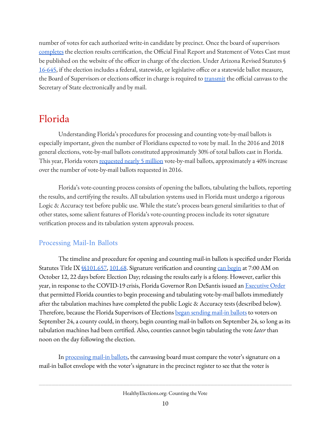number of votes for each authorized write-in candidate by precinct. Once the board of supervisors [completes](https://azsos.gov/sites/default/files/2019_ELECTIONS_PROCEDURES_MANUAL_APPROVED.pdf) the election results certification, the Official Final Report and Statement of Votes Cast must be published on the website of the officer in charge of the election. Under Arizona Revised Statutes § [16-645](https://www.azleg.gov/ars/16/00645.htm), if the election includes a federal, statewide, or legislative office or a statewide ballot measure, the Board of Supervisors or elections officer in charge is required to [transmit](https://azsos.gov/sites/default/files/2019_ELECTIONS_PROCEDURES_MANUAL_APPROVED.pdf) the official canvass to the Secretary of State electronically and by mail.

# <span id="page-9-0"></span>Florida

Understanding Florida's procedures for processing and counting vote-by-mail ballots is especially important, given the number of Floridians expected to vote by mail. In the 2016 and 2018 general elections, vote-by-mail ballots constituted approximately 30% of total ballots cast in Florida. This year, Florida voters [requested](https://www.heraldtribune.com/story/news/2020/09/18/florida-send-out-4-5-million-absentee-ballots-general-election-and-officials-urging-voters-mail-them/3483957001/) nearly 5 million vote-by-mail ballots, approximately a 40% increase over the number of vote-by-mail ballots requested in 2016.

Florida's vote-counting process consists of opening the ballots, tabulating the ballots, reporting the results, and certifying the results. All tabulation systems used in Florida must undergo a rigorous Logic & Accuracy test before public use. While the state's process bears general similarities to that of other states, some salient features of Florida's vote-counting process include its voter signature verification process and its tabulation system approvals process.

### <span id="page-9-1"></span>Processing Mail-In Ballots

The timeline and procedure for opening and counting mail-in ballots is specified under Florida Statutes Title IX [§§101.657](http://www.leg.state.fl.us/Statutes/index.cfm?App_mode=Display_Statute&Search_String=&URL=0100-0199/0101/Sections/0101.657.html), [101.68](http://www.leg.state.fl.us/statutes/index.cfm?App_mode=Display_Statute&URL=0100-0199/0101/Sections/0101.68.html). Signature verification and counting can [begin](https://www.ncsl.org/research/elections-and-campaigns/vopp-table-16-when-absentee-mail-ballot-processing-and-counting-can-begin.aspx) at 7:00 AM on October 12, 22 days before Election Day; releasing the results early is a felony. However, earlier this year, in response to the COVID-19 crisis, Florida Governor Ron DeSantis issued an [Executive](https://www.flgov.com/wp-content/uploads/orders/2020/EO_20-149.pdf) Order that permitted Florida counties to begin processing and tabulating vote-by-mail ballots immediately after the tabulation machines have completed the public Logic & Accuracy tests (described below). Therefore, because the Florida Supervisors of Elections began [sending](https://dos.myflorida.com/elections/for-voters/election-dates/) mail-in ballots to voters on September 24, a county could, in theory, begin counting mail-in ballots on September 24, so long as its tabulation machines had been certified. Also, counties cannot begin tabulating the vote *later* than noon on the day following the election.

In [processing](http://www.leg.state.fl.us/statutes/index.cfm?App_mode=Display_Statute&Search_String=&URL=0100-0199/0101/Sections/0101.68.html) mail-in ballots, the canvassing board must compare the voter's signature on a mail-in ballot envelope with the voter's signature in the precinct register to see that the voter is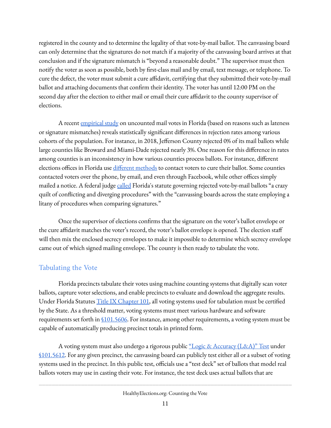registered in the county and to determine the legality of that vote-by-mail ballot. The canvassing board can only determine that the signatures do not match if a majority of the canvassing board arrives at that conclusion and if the signature mismatch is "beyond a reasonable doubt." The supervisor must then notify the voter as soon as possible, both by first-class mail and by email, text message, or telephone. To cure the defect, the voter must submit a cure affidavit, certifying that they submitted their vote-by-mail ballot and attaching documents that confirm their identity. The voter has until 12:00 PM on the second day after the election to either mail or email their cure affidavit to the county supervisor of elections.

A recent [empirical](https://www.liebertpub.com/doi/full/10.1089/elj.2020.0658) study on uncounted mail votes in Florida (based on reasons such as lateness or signature mismatches) reveals statistically significant differences in rejection rates among various cohorts of the population. For instance, in 2018, Jefferson County rejected 0% of its mail ballots while large counties like Broward and Miami-Dade rejected nearly 3%. One reason for this difference in rates among counties is an inconsistency in how various counties process ballots. For instance, different elections offices in Florida use different [methods](https://www.aclufl.org/en/press-releases/aclu-report-finds-varying-rates-rejected-vote-mail-ballots-across-florida-counties) to contact voters to cure their ballot. Some counties contacted voters over the phone, by email, and even through Facebook, while other offices simply mailed a notice. A federal judge [called](https://moritzlaw.osu.edu/electionlaw/litigation/documents/FDP-OrderGrantingPreliminaryInjunction101716.pdf) Florida's statute governing rejected vote-by-mail ballots "a crazy quilt of conflicting and diverging procedures" with the "canvassing boards across the state employing a litany of procedures when comparing signatures."

Once the supervisor of elections confirms that the signature on the voter's ballot envelope or the cure affidavit matches the voter's record, the voter's ballot envelope is opened. The election staff will then mix the enclosed secrecy envelopes to make it impossible to determine which secrecy envelope came out of which signed mailing envelope. The county is then ready to tabulate the vote.

### <span id="page-10-0"></span>Tabulating the Vote

Florida precincts tabulate their votes using machine counting systems that digitally scan voter ballots, capture voter selections, and enable precincts to evaluate and download the aggregate results. Under Florida Statutes Title IX [Chapter](http://www.leg.state.fl.us/statutes/index.cfm?App_mode=Display_Statute&URL=0100-0199/0101/0101ContentsIndex.html&StatuteYear=2019&Title=%2D%3E2019%2D%3EChapter%20101) 101, all voting systems used for tabulation must be certified by the State. As a threshold matter, voting systems must meet various hardware and software requirements set forth in [§101.5606.](http://www.leg.state.fl.us/statutes/index.cfm?App_mode=Display_Statute&Search_String=&URL=0100-0199/0101/Sections/0101.5606.html) For instance, among other requirements, a voting system must be capable of automatically producing precinct totals in printed form.

A voting system must also undergo a rigorous public "Logic & [Accuracy](https://soe.dos.state.fl.us/pdf/DE%20Guide%200019%20-%20Guidelines%20for%20Logic%20%20Accuracy%20Testing_rev20200709.pdf) (L&A)" Test under [§101.5612.](http://www.leg.state.fl.us/Statutes/index.cfm?App_mode=Display_Statute&Search_String=&URL=0100-0199/0101/Sections/0101.5612.html) For any given precinct, the canvassing board can publicly test either all or a subset of voting systems used in the precinct. In this public test, officials use a "test deck" set of ballots that model real ballots voters may use in casting their vote. For instance, the test deck uses actual ballots that are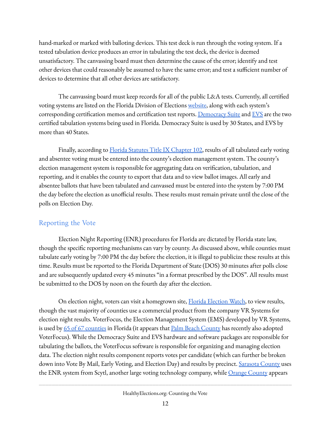hand-marked or marked with balloting devices. This test deck is run through the voting system. If a tested tabulation device produces an error in tabulating the test deck, the device is deemed unsatisfactory. The canvassing board must then determine the cause of the error; identify and test other devices that could reasonably be assumed to have the same error; and test a sufficient number of devices to determine that all other devices are satisfactory.

The canvassing board must keep records for all of the public L&A tests. Currently, all certified voting systems are listed on the Florida Division of Elections [website,](https://dos.myflorida.com/elections/voting-systems/certified-voting-systems-and-vendors/) along with each system's corresponding certification memos and certification test reports. [Democracy](https://www.dominionvoting.com/democracy-suite-ems/) Suite and [EVS](https://www.essvote.com/blog/our-technology/evs-6000/) are the two certified tabulation systems being used in Florida. Democracy Suite is used by 30 States, and EVS by more than 40 States.

Finally, acc[o](http://www.leg.state.fl.us/statutes/index.cfm?App_mode=Display_Statute&Search_String=&URL=0100-0199/0102/Sections/0102.141.html)rding to **Florida Statutes Title IX [Chapter](http://www.leg.state.fl.us/statutes/index.cfm?App_mode=Display_Statute&Search_String=&URL=0100-0199/0102/Sections/0102.141.html) 102**, results of all tabulated early voting and absentee voting must be entered into the county's election management system. The county's election management system is responsible for aggregating data on verification, tabulation, and reporting, and it enables the county to export that data and to view ballot images. All early and absentee ballots that have been tabulated and canvassed must be entered into the system by 7:00 PM the day before the election as unofficial results. These results must remain private until the close of the polls on Election Day.

### <span id="page-11-0"></span>Reporting the Vote

Election Night Reporting (ENR) procedures for Florida are dictated by Florida state law, though the specific reporting mechanisms can vary by county. As discussed above, while counties must tabulate early voting by 7:00 PM the day before the election, it is illegal to publicize these results at this time. Results must be reported to the Florida Department of State (DOS) 30 minutes after polls close and are subsequently updated every 45 minutes "in a format prescribed by the DOS". All results must be submitted to the DOS by noon on the fourth day after the election.

On election night, voters can visit a homegrown site, **Florida [Election](https://floridaelectionwatch.gov/Home) Watch**, to view results, though the vast majority of counties use a commercial product from the company VR Systems for election night results. VoterFocus, the Election Management System (EMS) developed by VR Systems, is used by 65 of 67 [counties](https://www.vrsystems.com/Portals/VR/doc/brochure-voter-focus.pdf) in Florida (it appears that Palm Beach [County](https://www.pbcelections.org/Records-Data/Election-Results) has recently also adopted VoterFocus). While the Democracy Suite and EVS hardware and software packages are responsible for tabulating the ballots, the VoterFocus software is responsible for organizing and managing election data. The election night results component reports votes per candidate (which can further be broken down into Vote By Mail, Early Voting, and Election Day) and results by precinct. **[Sarasota](https://results.enr.clarityelections.com/FL/Sarasota/103047/web.241347/#/summary) County uses** the ENR system from Scytl, another large voting technology company, while **Orange [County](https://www.ocfelections.com/election-record/2020-primary-election-2020-08-18)** appears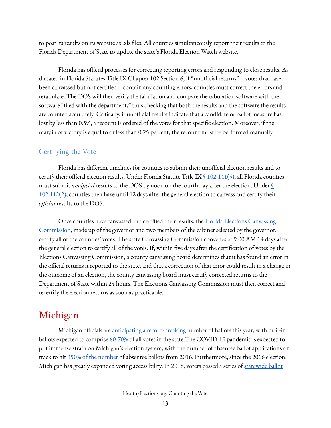to post its results on its website as .xls files. All counties simultaneously report their results to the Florida Department of State to update the state's Florida Election Watch website.

Florida has official processes for correcting reporting errors and responding to close results. As dictated in Florida Statutes Title IX Chapter 102 Section 6, if "unofficial returns"—votes that have been canvassed but not certified—contain any counting errors, counties must correct the errors and retabulate. The DOS will then verify the tabulation and compare the tabulation software with the software "filed with the department," thus checking that both the results and the software the results are counted accurately. Critically, if unofficial results indicate that a candidate or ballot measure has lost by less than 0.5%, a recount is ordered of the votes for that specific election. Moreover, if the margin of victory is equal to or less than 0.25 percent, the recount must be performed manually.

### <span id="page-12-0"></span>Certifying the Vote

Florida has different timelines for counties to submit their unofficial election results and to certify their official election results. Under Florida Statute Title IX  $\S$  [102.141\(5\),](http://www.leg.state.fl.us/statutes/index.cfm?App_mode=Display_Statute&Search_String=&URL=0100-0199/0102/Sections/0102.141.html) all Florida counties must submit *unofficial* results to the DOS by noon on the fourth day after the election. Under [§](http://www.leg.state.fl.us/statutes/index.cfm?App_mode=Display_Statute&Search_String=&URL=0100-0199/0102/Sections/0102.112.html) [102.112\(2\),](http://www.leg.state.fl.us/statutes/index.cfm?App_mode=Display_Statute&Search_String=&URL=0100-0199/0102/Sections/0102.112.html) counties then have until 12 days after the general election to canvass and certify their *official* results to the DOS.

Once counties have canvassed and certified their results, the **Florida Elections [Canvassing](http://www.leg.state.fl.us/statutes/index.cfm?App_mode=Display_Statute&Search_String=&URL=0100-0199/0102/Sections/0102.111.html)** [Commission](http://www.leg.state.fl.us/statutes/index.cfm?App_mode=Display_Statute&Search_String=&URL=0100-0199/0102/Sections/0102.111.html), made up of the governor and two members of the cabinet selected by the governor, certify all of the counties' votes. The state Canvassing Commission convenes at 9:00 AM 14 days after the general election to certify all of the votes. If, within five days after the certification of votes by the Elections Canvassing Commission, a county canvassing board determines that it has found an error in the official returns it reported to the state, and that a correction of that error could result in a change in the outcome of an election, the county canvassing board must certify corrected returns to the Department of State within 24 hours. The Elections Canvassing Commission must then correct and recertify the election returns as soon as practicable.

# <span id="page-12-1"></span>Michigan

Michigan officials are anticipating a [record-breaking](https://www.businessinsider.com/michigan-secretary-of-state-expect-election-results-week-2020-9) number of ballots this year, with mail-in ballots expected to comprise [60-70%](https://www.fox2detroit.com/news/benson-record-breaking-turnout-in-michigan-will-exceed-5-million-ballots) of all votes in the state. The COVID-19 pandemic is expected to put immense strain on Michigan's election system, with the number of absentee ballot applications on track to hit 350% of the [number](https://www.detroitnews.com/story/news/politics/2020/09/29/ex-secretaries-state-sue-over-plan-count-late-arriving-ballots/3574392001/) of absentee ballots from 2016. Furthermore, since the 2016 election, Michigan has greatly expanded voting accessibility. In 2018, voters passed a series of [statewide](https://www.michigan.gov/sos/0,4670,7-127-1633_8716_8728-21037--,00.html) ballot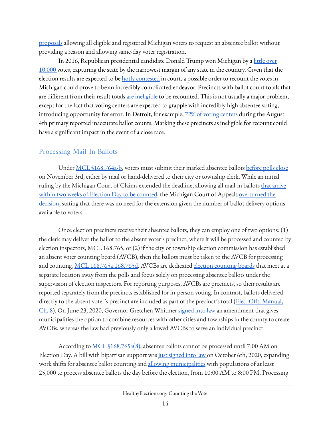[proposals](https://www.michigan.gov/sos/0,4670,7-127-1633_8716_8728-21037--,00.html) allowing all eligible and registered Michigan voters to request an absentee ballot without providing a reason and allowing same-day voter registration.

In 2016, Republican presidential candidate Donald Trump won Michigan by a <u>[little](https://www.clickondetroit.com/consumer/help-me-hank/2020/09/29/michigan-lawmakers-battle-over-how-to-count-ballots-for-presidential-election/) over</u> [10,000](https://www.clickondetroit.com/consumer/help-me-hank/2020/09/29/michigan-lawmakers-battle-over-how-to-count-ballots-for-presidential-election/) votes, capturing the state by the narrowest margin of any state in the country. Given that the election results are expected to be hotly [contested](https://www.businessinsider.com/contested-presidential-election-biden-trump-explainer-november-2020-8) in court, a possible order to recount the votes in Michigan could prove to be an incredibly complicated endeavor. Precincts with ballot count totals that are different from their result totals are [ineligible](https://www.detroitnews.com/story/news/politics/2016/12/05/recount-unrecountable/95007392/) to be recounted. This is not usually a major problem, except for the fact that voting centers are expected to grapple with incredibly high absentee voting, introducing opportunity for error. In Detroit, for example, 72% of voting [centers](https://www.detroitnews.com/story/news/politics/2020/08/20/benson-asked-investigate-detroit-perfect-storm-voting-problems/5616629002/) during the August 4th primary reported inaccurate ballot counts. Marking these precincts as ineligible for recount could have a significant impact in the event of a close race.

### <span id="page-13-0"></span>Processing Mail-In Ballots

Under MCL [§168.764a-b,](http://www.legislature.mi.gov/(S(sbdnalxljsxa4ozw2c55senu))/mileg.aspx?page=getObject&objectName=mcl-168-764a) voters must submit their marked absentee ballots [before](https://www.freep.com/story/news/politics/elections/2020/09/18/absentee-ballot-mail-michigan-election-2020-usps/3492609001/) polls close on November 3rd, either by mail or hand-delivered to their city or township clerk. While an initial ruling by the Michigan Court of Claims extended the deadline, allowing all mail-in ballots that [arrive](https://www.foxnews.com/politics/michigan-mail-in-voting-what-to-know) within two weeks of [Election](https://www.foxnews.com/politics/michigan-mail-in-voting-what-to-know) Day to be counted, the Michigan Court of Appeals [overturned](https://thehill.com/homenews/state-watch/521516-michigan-court-overturns-absentee-ballot-extension) the [decision,](https://thehill.com/homenews/state-watch/521516-michigan-court-overturns-absentee-ballot-extension) stating that there was no need for the extension given the number of ballot delivery options available to voters.

Once election precincts receive their absentee ballots, they can employ one of two options: (1) the clerk may deliver the ballot to the absent voter's precinct, where it will be processed and counted by election inspectors, MCL 168.765, or (2) if the city or township election commission has established an absent voter counting board (AVCB), then the ballots must be taken to the AVCB for processing and [counting](https://www.detroitnews.com/story/opinion/2020/07/01/opinion-new-law-protects-absentee-voting-election/3280231001/), MCL 168.765a, 168.765d. AVCBs are dedicated election counting boards that meet at a separate location away from the polls and focus solely on processing absentee ballots under the supervision of election inspectors. For reporting purposes, AVCBs are precincts, so their results are reported separately from the precincts established for in-person voting. In contrast, ballots delivered directly to the absent voter's precinct are included as part of the precinct's total (Elec. Offs. [Manual,](https://www.michigan.gov/documents/sos/VIII_Absent_Voter_County_Boards_265998_7.pdf) [Ch.](https://www.michigan.gov/documents/sos/VIII_Absent_Voter_County_Boards_265998_7.pdf) 8). On June 23, 2020, Governor Gretchen Whitmer [signed](https://www.michigan.gov/whitmer/0,9309,7-387-90499-532777--,00.html) into law an amendment that gives municipalities the option to combine resources with other cities and townships in the county to create AVCBs, whereas the law had previously only allowed AVCBs to serve an individual precinct.

According to MCL [§168.765a\(8\),](http://www.legislature.mi.gov/(S(vt5cruon3h13t33cmi0g0shx))/mileg.aspx?page=getObject&objectName=mcl-168-765a) absentee ballots cannot be processed until 7:00 AM on Election Day. A bill with bipartisan support was just [signed](https://www.freep.com/story/news/politics/elections/2020/10/06/whitmer-absentee-voting-michigan-ballots/3635670001/) into law on October 6th, 2020, expanding work shifts for absentee ballot counting and allowing [municipalities](https://www.bridgemi.com/michigan-government/bill-speed-absentee-ballot-counting-passes-michigan-house) with populations of at least 25,000 to process absentee ballots the day before the election, from 10:00 AM to 8:00 PM. Processing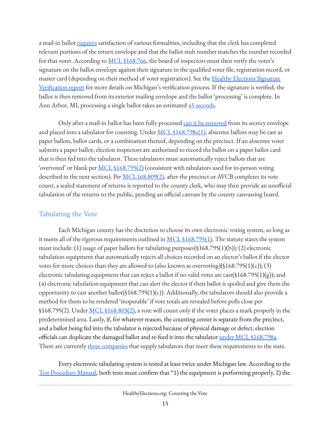a mail-in ballot [requires](https://www.michigan.gov/documents/sos/june_2011_clerk_accredi_manual_cover-content_362765_7.pdf) satisfaction of various formalities, including that the clerk has completed relevant portions of the return envelope and that the ballot stub number matches the number recorded for that voter. According to MCL \$168.766, the board of inspectors must then verify the voter's signature on the ballot envelope against their signature in the qualified voter file, registration record, or master card (depending on their method of voter registration). See the **Healthy Elections [Signature](https://healthyelections.org/sites/default/files/2020-10/Signature-Verification-Report.pdf)** Verification report for more details on Michigan's verification process. If the signature is verified, the ballot is then removed from its exterior mailing envelope and the ballot 'processing' is complete. In Ann Arbor, MI, processing a single ballot takes an estimated 45 [seconds.](https://bipartisanpolicy.org/report/counting-the-vote-during-the-2020-election/)

Only after a mail-in ballot has been fully processed can it be [removed](https://www.michigan.gov/documents/sos/june_2011_clerk_accredi_manual_cover-content_362765_7.pdf) from its secrecy envelope and placed into a tabulator for counting. Under  $MCL \$ [§168.798c\(1\)](http://www.legislature.mi.gov/(S(vt5cruon3h13t33cmi0g0shx))/mileg.aspx?page=getobject&objectname=mcl-168-798c&query=on&highlight=tabulating), absentee ballots may be cast as paper ballots, ballot cards, or a combination thereof, depending on the precinct. If an absentee voter submits a paper ballot, election inspectors are authorized to record the ballot on a paper ballot card that is then fed into the tabulator. These tabulators must automatically reject ballots that are 'overvoted' or blank per MCL [§168.795\(2\)](http://www.legislature.mi.gov/(S(vt5cruon3h13t33cmi0g0shx))/mileg.aspx?page=getobject&objectname=mcl-168-795&query=on&highlight=tabulating) (consistent with tabulators used for in-person voting described in the next section). Per [MCL168.809\(2\),](http://www.legislature.mi.gov/(S(ch2eljt50p5djew4n5l0k2nc))/mileg.aspx?page=GetObject&objectname=mcl-168-809) after the precinct or AVCB completes its vote count, a sealed statement of returns is reported to the county clerk, who may then provide an unofficial tabulation of the returns to the public, pending an official canvass by the county canvassing board.

### <span id="page-14-0"></span>Tabulating the Vote

Each Michigan county has the discretion to choose its own electronic voting system, so long as it meets all of the rigorous requirements outlined in  $MCL$  \$168.795(1). The statute states the system must include: (1) usage of paper ballots for tabulating purposes(§168.795(1)(b)); (2) electronic tabulation equipment that automatically rejects all choices recorded on an elector's ballot if the elector votes for more choices than they are allowed to (also known as overvoting)( $\S168.795(1)(c)$ ; (3) electronic tabulating equipment that can reject a ballot if no valid votes are cast( $$168.795(1)(g)$ ); and (4) electronic tabulation equipment that can alert the elector if their ballot is spoiled and give them the opportunity to cast another ballot( $$168.795(1)(c)$ ). Additionally, the tabulators should also provide a method for them to be rendered 'inoperable' if vote totals are revealed before polls close per §168.795(2). Under MCL [§168.803\(2\)](http://www.legislature.mi.gov/(S(vt5cruon3h13t33cmi0g0shx))/mileg.aspx?page=getObject&objectName=mcl-168-803&highlight=absentee), a vote will count only if the voter places a mark properly in the predetermined area. Lastly, if, for whatever reason, the counting center is separate from the precinct, and a ballot being fed into the tabulator is rejected because of physical damage or defect, election officials can duplicate the damaged ballot and re-feed it into the tabulator <u>under MCL §168.798a</u>. There are currently three [companies](https://www.michigan.gov/sos/0,4670,7-127-1633_11976-185718--,00.html) that supply tabulators that meet these requirements to the state.

Every electronic tabulating system is tested at least twice under Michigan law. According to the Test [Procedure](https://www.michigan.gov/documents/test_deck_manual05_131814_7.pdf) Manual, both tests must confirm that "1) the equipment is performing properly, 2) the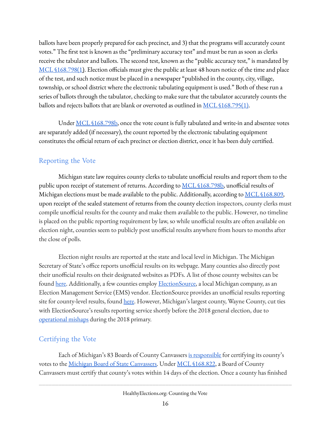ballots have been properly prepared for each precinct, and 3) that the programs will accurately count votes." The first test is known as the "preliminary accuracy test" and must be run as soon as clerks receive the tabulator and ballots. The second test, known as the "public accuracy test," is mandated by  $MCL $168.798(1)$ . Election officials must give the public at least 48 hours notice of the time and place</u> of the test, and such notice must be placed in a newspaper "published in the county, city, village, township, or school district where the electronic [tabulating](http://www.legislature.mi.gov/(S(vt5cruon3h13t33cmi0g0shx))/mileg.aspx?page=getobject&objectname=mcl-168-798&query=on&highlight=tabulating#5) equipment is used." Both of these run a series of ballots through the tabulator, checking to make sure that the tabulator accurately counts the ballots and rejects ballots that are blank or overvoted as outlined in  $MCL \$ [§168.795\(1\).](http://www.legislature.mi.gov/(S(vt5cruon3h13t33cmi0g0shx))/mileg.aspx?page=getobject&objectname=mcl-168-795&query=on&highlight=tabulating)

Under <u>MCL §168.798b</u>, once the vote count is fully tabulated and write-in and absentee votes are separately added (if necessary), the count reported by the electronic tabulating equipment constitutes the official return of each precinct or election district, once it has been duly certified.

### <span id="page-15-0"></span>Reporting the Vote

Michigan state law requires county clerks to tabulate unofficial results and report them to the public upon receipt of statement of returns. According to MCL [§168.798b,](http://www.legislature.mi.gov/(S(3k2eapqu0wlpeourbbxjxsyi))/mileg.aspx?page=getObject&objectName=mcl-168-798b) unofficial results of Michigan elections must be made available to the public. Additionally, according to MCL [§168.809,](http://www.legislature.mi.gov/(S(vdy4obcpnmgff4bmhvy3viwm))/mileg.aspx?page=GetObject&objectname=mcl-168-809) upon receipt of the sealed statement of returns from the county election inspectors, county clerks must compile unofficial results for the county and make them available to the public. However, no timeline is placed on the public reporting requirement by law, so while unofficial results are often available on election night, counties seem to publicly post unofficial results anywhere from hours to months after the close of polls.

Election night results are reported at the state and local level in Michigan. The Michigan Secretary of State's office reports unofficial results on its webpage. Many counties also directly post their unofficial results on their designated websites as PDFs. A list of those county websites can be found <u>[here](https://www.michigan.gov/sos/0,4670,7-127-1633_8722-103241--,00.html)</u>. Additionally, a few counties employ **[ElectionSource](https://electionsource.com/)**, a local Michigan company, as an Election Management Service (EMS) vendor. ElectionSource provides an unofficial results reporting site for county-level results, found [here](https://electionreporting.com/). However, Michigan's largest county, Wayne County, cut ties with ElectionSource's results reporting service shortly before the 2018 general election, due to [operational](https://www.thenewsherald.com/news/wayne-county-clerk-s-office-cuts-ties-with-web-based/article_f3ff258c-de1e-11e8-80fe-136d88cf4c82.html) mishaps during the 2018 primary.

# <span id="page-15-1"></span>Certifying the Vote

Each of Michigan's 83 Boards of County Canvassers is [responsible](http://www.mml.org/pdf/information/elections-structure_of_michigan_elections_system_sos.pdf) for certifying its county's votes to the Michigan Board of State [Canvassers.](https://www.michigan.gov/sos/0,4670,7-127-1633_41221---,00.html) Under MCL [§168.822](http://www.legislature.mi.gov/(S(5gog1eknbljrntkrrffdssw2))/mileg.aspx?page=GetObject&objectname=mcl-168-822), a Board of County Canvassers must certify that county's votes within 14 days of the election. Once a county has finished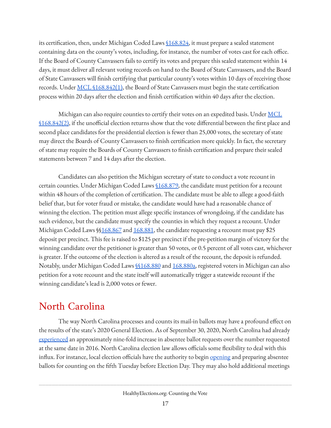its certification, then, under Michigan Coded Laws \$168.824, it must prepare a sealed statement containing data on the county's votes, including, for instance, the number of votes cast for each office. If the Board of County Canvassers fails to certify its votes and prepare this sealed statement within 14 days, it must deliver all relevant voting records on hand to the Board of State Canvassers, and the Board of State Canvassers will finish certifying that particular county's votes within 10 days of receiving those records. Under  $MCL §168.842(1)$  $MCL §168.842(1)$ , the Board of State Canvassers must begin the state certification</u> process within 20 days after the election and finish certification within 40 days after the election.

Michigan can also require counties to certify their votes on an expedited basis. Under [MCL](http://www.legislature.mi.gov/(S(hvxgrrjjdkseafrnhe0xpapy))/mileg.aspx?page=getObject&objectName=mcl-168-842)  $$168.842(2)$ , if the unofficial election returns show that the vote differential between the first place and second place candidates for the presidential election is fewer than 25,000 votes, the secretary of state may direct the Boards of County Canvassers to finish certification more quickly. In fact, the secretary of state may require the Boards of County Canvassers to finish certification and prepare their sealed statements between 7 and 14 days after the election.

Candidates can also petition the Michigan secretary of state to conduct a vote recount in certain counties. Under Michigan Coded Laws [§168.879,](http://www.legislature.mi.gov/(S(uektg5vcl3rvkqlbb13hl3or))/mileg.aspx?page=getObject&objectName=mcl-168-879) the candidate must petition for a recount within 48 hours of the completion of certification. The candidate must be able to allege a good-faith belief that, but for voter fraud or mistake, the candidate would have had a reasonable chance of winning the election. The petition must allege specific instances of wrongdoing, if the candidate has such evidence, but the candidate must specify the counties in which they request a recount. Under Michigan Coded Laws §§[168.867](http://www.legislature.mi.gov/(S(ihafo25kyn3r4cqefxvog5ai))/mileg.aspx?page=getObject&objectName=mcl-168-867) and [168.881](http://www.legislature.mi.gov/(S(g5v5brmwgzdmrzxfoedmrasu))/mileg.aspx?page=getObject&objectName=mcl-168-881), the candidate requesting a recount must pay \$25 deposit per precinct. This fee is raised to \$125 per precinct if the pre-petition margin of victory for the winning candidate over the petitioner is greater than 50 votes, or 0.5 percent of all votes cast, whichever is greater. If the outcome of the election is altered as a result of the recount, the deposit is refunded. Notably, under Michigan Coded Laws \$\$168.880 and [168.880a,](http://www.legislature.mi.gov/(S(yg4y2oxmnso4p0jjbgxt2b4k))/mileg.aspx?page=getObject&objectName=mcl-168-880a) registered voters in Michigan can also petition for a vote recount and the state itself will automatically trigger a statewide recount if the winning candidate's lead is 2,000 votes or fewer.

# <span id="page-16-0"></span>North Carolina

The way North Carolina processes and counts its mail-in ballots may have a profound effect on the results of the state's 2020 General Election. As of September 30, 2020, North Carolina had already [experienced](https://s3.amazonaws.com/dl.ncsbe.gov/Press/NC%20Absentee%20Ballot%20Requests%20for%202020%20General%20Election/Daily_Absentee_Request_Report_2020Sep30.pdf) an approximately nine-fold increase in absentee ballot requests over the number requested at the same date in 2016. North Carolina election law allows officials some flexibility to deal with this influx. For instance, local election officials have the authority to begin <u>[opening](https://s3.amazonaws.com/dl.ncsbe.gov/sboe/numbermemo/2020/Numbered%20Memo%202020-25_Absentee%20Board%20Meetings.pdf)</u> and preparing absentee ballots for counting on the fth Tuesday before Election Day. They may also hold additional meetings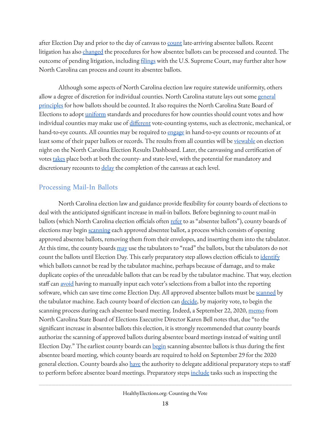after Election Day and prior to the day of canvass to **[count](https://www.ncleg.gov/EnactedLegislation/Statutes/PDF/BySection/Chapter_163/GS_163-234.pdf)** late-arriving absentee ballots. Recent litigation has also [changed](https://s3.amazonaws.com/dl.ncsbe.gov/sboe/numbermemo/2020/Numbered%20Memo%202020-19_Absentee%20Deficiencies.pdf) the procedures for how absentee ballots can be processed and counted. The outcome of pending litigation, including *fi[lings](https://www.supremecourt.gov/DocketPDF/20/20A71/158465/20201022093436364_WISE%20SCOTUS%20Emergency%20Injunction.pdf)* with the U.S. Supreme Court, may further alter how North Carolina can process and count its absentee ballots.

Although some aspects of North Carolina election law require statewide uniformity, others allow a degree of discretion for individual counties. North Carolina statute lays out some <u>[general](https://www.ncleg.gov/EnactedLegislation/Statutes/PDF/BySection/Chapter_163/GS_163-182.1.pdf)</u> [principles](https://www.ncleg.gov/EnactedLegislation/Statutes/PDF/BySection/Chapter_163/GS_163-182.1.pdf) for how ballots should be counted. It also requires the North Carolina State Board of Elections to adopt *[uniform](https://www.ncleg.gov/EnactedLegislation/Statutes/PDF/BySection/Chapter_163/GS_163-182.1.pdf)* standards and procedures for how counties should count votes and how individual counties may make use of different vote-counting systems, such as electronic, mechanical, or hand-to-eye counts. All counties may be required to <u>[engage](https://www.ncleg.gov/EnactedLegislation/Statutes/PDF/BySection/Chapter_163/GS_163-182.2.pdf)</u> in hand-to-eye counts or recounts of at least some of their paper ballots or records. The results from all counties will be <u>[viewable](https://www.ncsbe.gov/results-data/election-results/about-election-results-dashboard)</u> on election night on the North Carolina Election Results Dashboard. Later, the canvassing and certification of votes [takes](https://www.ncleg.gov/EnactedLegislation/Statutes/PDF/BySection/Chapter_163/GS_163-182.5.pdf) place both at both the county- and state-level, with the potential for mandatory and discretionary recounts to **[delay](https://www.ncleg.gov/EnactedLegislation/Statutes/PDF/BySection/Chapter_163/GS_163-182.7.pdf)** the completion of the canvass at each level.

#### <span id="page-17-0"></span>Processing Mail-In Ballots

North Carolina election law and guidance provide flexibility for county boards of elections to deal with the anticipated significant increase in mail-in ballots. Before beginning to count mail-in ballots (which North Carolina election officials often [refer](https://s3.amazonaws.com/dl.ncsbe.gov/sboe/numbermemo/2020/Numbered%20Memo%202020-25_Absentee%20Board%20Meetings.pdf) to as "absentee ballots"), county boards of elections may begin [scanning](https://s3.amazonaws.com/dl.ncsbe.gov/sboe/numbermemo/2020/Numbered%20Memo%202020-25_Absentee%20Board%20Meetings.pdf) each approved absentee ballot, a process which consists of opening approved absentee ballots, removing them from their envelopes, and inserting them into the tabulator. At this time, the county boards [may](https://s3.amazonaws.com/dl.ncsbe.gov/sboe/numbermemo/2020/Numbered%20Memo%202020-25_Absentee%20Board%20Meetings.pdf) use the tabulators to "read" the ballots, but the tabulators do not count the ballots until Election Day. This early preparatory step allows election officials to [identify](https://s3.amazonaws.com/dl.ncsbe.gov/sboe/numbermemo/2020/Numbered%20Memo%202020-25_Absentee%20Board%20Meetings.pdf) which ballots cannot be read by the tabulator machine, perhaps because of damage, and to make duplicate copies of the unreadable ballots that can be read by the tabulator machine. That way, election staff can <u>[avoid](https://s3.amazonaws.com/dl.ncsbe.gov/sboe/numbermemo/2020/Numbered%20Memo%202020-25_Absentee%20Board%20Meetings.pdf)</u> having to manually input each voter's selections from a ballot into the reporting software, which can save time come Election Day. All approved absentee ballots must be [scanned](https://s3.amazonaws.com/dl.ncsbe.gov/sboe/numbermemo/2020/Numbered%20Memo%202020-25_Absentee%20Board%20Meetings.pdf) by the tabulator machi[n](https://s3.amazonaws.com/dl.ncsbe.gov/sboe/numbermemo/2020/Numbered%20Memo%202020-25_Absentee%20Board%20Meetings.pdf)e. Each county board of election can [decide](https://s3.amazonaws.com/dl.ncsbe.gov/sboe/numbermemo/2020/Numbered%20Memo%202020-25_Absentee%20Board%20Meetings.pdf), by majority vote, to begin the scanning process during each absentee board meeting. Indeed, a September 22, 2020, <u>[memo](https://s3.amazonaws.com/dl.ncsbe.gov/sboe/numbermemo/2020/Numbered%20Memo%202020-25_Absentee%20Board%20Meetings.pdf)</u> from North Carolina State Board of Elections Executive Director Karen Bell notes that, due "to the significant increase in absentee ballots this election, it is strongly recommended that county boards authorize the scanning of approved ballots during absentee board meetings instead of waiting until Election Day." The earliest county boards can [begin](https://s3.amazonaws.com/dl.ncsbe.gov/sboe/numbermemo/2020/Numbered%20Memo%202020-25_Absentee%20Board%20Meetings.pdf) scanning absentee ballots is thus during the first absentee board meeting, which county boards are required to hold on September 29 for the 2020 general election. County boards also [have](https://s3.amazonaws.com/dl.ncsbe.gov/sboe/numbermemo/2020/Numbered%20Memo%202020-25_Absentee%20Board%20Meetings.pdf) the authority to delegate additional preparatory steps to staff to perform before absentee board meetings. Preparatory steps [include](https://s3.amazonaws.com/dl.ncsbe.gov/sboe/numbermemo/2020/Numbered%20Memo%202020-25_Absentee%20Board%20Meetings.pdf) tasks such as inspecting the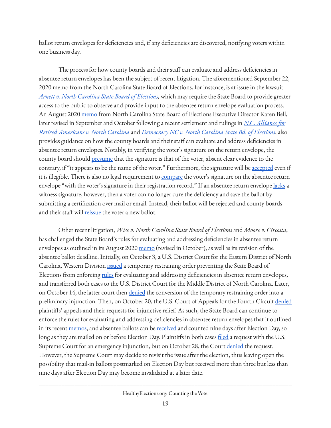ballot return envelopes for deficiencies and, if any deficiencies are discovered, notifying voters within one business day.

The process for how county boards and their staff can evaluate and address deficiencies in absentee return envelopes has been the subject of recent litigation. The aforementioned September 22, 2020 memo from the North Carolina State Board of Elections, for instance, is at issue in the lawsuit *Arnett v. North [Carolina](https://drive.google.com/file/d/1bFTGfQ9vvr1_5AOjScRzjioEr7b_OGu1/view) State Board of Elections,* which may require the State Board to provide greater access to the public to observe and provide input to the absentee return envelope evaluation process. An August 2020 [memo](https://s3.amazonaws.com/dl.ncsbe.gov/sboe/numbermemo/2020/Numbered%20Memo%202020-19_Absentee%20Deficiencies.pdf) from North Carolina State Board of Elections Executive Director Karen Bell, later revised in September and October following a recent settlement and rulings in *N.C. [Alliance](https://electionlawblog.org/wp-content/uploads/NC-Alliance-20201005-judgment.pdf) for Retired [Americans](https://electionlawblog.org/wp-content/uploads/NC-Alliance-20201005-judgment.pdf) v. North Carolina* and *[Democracy](https://assets.documentcloud.org/documents/7231514/10-14-20-Democracy-North-Carolina-v-NC-Opinion.pdf) NC v. North Carolina State Bd. of Elections*, also provides guidance on how the county boards and their staff can evaluate and address deficiencies in absentee return envelopes. Notably, in verifying the voter's signature on the return envelope, the county board should **[presume](https://s3.amazonaws.com/dl.ncsbe.gov/sboe/numbermemo/2020/Numbered%20Memo%202020-19_Absentee%20Deficiencies.pdf)** that the signature is that of the voter, absent clear evidence to the contrary, if "it appears to be the name of the voter." Furthermore, the signature will be [accepted](https://s3.amazonaws.com/dl.ncsbe.gov/sboe/numbermemo/2020/Numbered%20Memo%202020-19_Absentee%20Deficiencies.pdf) even if it is illegible. There is also no legal requirement to [compare](https://s3.amazonaws.com/dl.ncsbe.gov/sboe/numbermemo/2020/Numbered%20Memo%202020-19_Absentee%20Deficiencies.pdf) the voter's signature on the absentee return envelope "with the voter's signature in their registration record." If an absentee return envelope [lacks](https://s3.amazonaws.com/dl.ncsbe.gov/sboe/numbermemo/2020/Numbered%20Memo%202020-19_Absentee%20Deficiencies.pdf) a witness signature, however, then a voter can no longer cure the deficiency and save the ballot by submitting a certification over mail or email. Instead, their ballot will be rejected and county boards and their staff will [reissue](https://s3.amazonaws.com/dl.ncsbe.gov/sboe/numbermemo/2020/Numbered%20Memo%202020-19_Absentee%20Deficiencies.pdf) the voter a new ballot.

Other recent litigation, *Wise v. North Carolina State Board of Elections*and *Moore v. Circosta*, has challenged the State Board's rules for evaluating and addressing deficiencies in absentee return envelopes as outlined in its August 2020 [memo](https://s3.amazonaws.com/dl.ncsbe.gov/sboe/numbermemo/2020/Numbered%20Memo%202020-19_Absentee%20Deficiencies.pdf) (revised in October), as well as its revision of the absentee ballot deadline. Initially, on October 3, a U.S. District Court for the Eastern District of North Carolina, Western Division [issued](https://www.courtlistener.com/recap/gov.uscourts.nced.182699/gov.uscourts.nced.182699.47.0.pdf) a temporary restraining order preventing the State Board of Elections from enforcing [rules](https://s3.amazonaws.com/dl.ncsbe.gov/sboe/numbermemo/2020/Numbered%20Memo%202020-28_Court%20Orders.pdf) for evaluating and addressing deficiencies in absentee return envelope[s,](https://s3.amazonaws.com/dl.ncsbe.gov/sboe/numbermemo/2020/Numbered%20Memo%202020-28_Court%20Orders.pdf) and [transferred](https://s3.amazonaws.com/dl.ncsbe.gov/sboe/numbermemo/2020/Numbered%20Memo%202020-28_Court%20Orders.pdf) both cases to the U.S. District Court for the Middle District of North Carolina. Later, on October 14, the latter court then <u>[denied](https://assets.documentcloud.org/documents/7231484/Democracy-NC-Judge-Osteen-Order-2020-10-14.pdf)</u> the conversion of the temporary restraining order into a preliminary injunction. Then, on October 20, the U.S. Court of Appeals for the Fourth Circuit [denied](https://assets.documentcloud.org/documents/7273830/10-20-20-Wise-v-Circosta-4th-Circuit.pdf) plaintiffs' appeals and their requests for injunctive relief. As such, the State Board can continue to enforce the rules for evaluating and addressing deficiencies in absentee return envelopes that it outlined in its recent [memos](https://s3.amazonaws.com/dl.ncsbe.gov/sboe/numbermemo/2020/Numbered%20Memo%202020-28_Court%20Orders.pdf), and absentee ballots can be [received](https://assets.documentcloud.org/documents/7273830/10-20-20-Wise-v-Circosta-4th-Circuit.pdf) and counted nine days after Election Day, so long as they are mai[led](https://www.supremecourt.gov/DocketPDF/20/20A71/158465/20201022093436364_WISE%20SCOTUS%20Emergency%20Injunction.pdf) on or before Election Day. Plaintiffs in both cases filed a request with the U.S. Supreme Court for an emergency injunction, but on October 28, the Court [denied](https://www.supremecourt.gov/opinions/20pdf/20a72_5hek.pdf) the request. However, the Supreme Court may decide to revisit the issue after the election, thus leaving open the possibility that mail-in ballots postmarked on Election Day but received more than three but less than nine days after Election Day may become invalidated at a later date.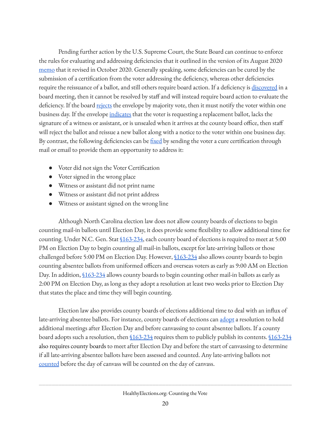Pending further action by the U.S. Supreme Court, the State Board can continue to enforce the rules for evaluating and addressing deficiencies that it outlined in the version of its August 2020 [memo](https://s3.amazonaws.com/dl.ncsbe.gov/sboe/numbermemo/2020/Numbered%20Memo%202020-19_Absentee%20Deficiencies.pdf) that it revised in October 2020. Generally speaking, some deficiencies can be cured by the submission of a certification from the voter addressing the deficiency, whereas other deficiencies require the reissuance of a ballot, and still others require board action. If a deficiency is [discovered](https://s3.amazonaws.com/dl.ncsbe.gov/sboe/numbermemo/2020/Numbered%20Memo%202020-19_Absentee%20Deficiencies.pdf) in a board meeting, then it cannot be resolved by staff and will instead require board action to evaluate the deficiency. If the board [rejects](https://s3.amazonaws.com/dl.ncsbe.gov/sboe/numbermemo/2020/Numbered%20Memo%202020-19_Absentee%20Deficiencies.pdf) the envelope by majority vote, then it must notify the voter within one business day. If the envelope [indicates](https://s3.amazonaws.com/dl.ncsbe.gov/sboe/numbermemo/2020/Numbered%20Memo%202020-19_Absentee%20Deficiencies.pdf) that the voter is requesting a replacement ballot, lacks the signature of a witness or assistant, or is unsealed when it arrives at the county board office, then staff will reject the ballot and reissue a new ballot along with a notice to the voter within one business day. By contrast, the following deficiencies can be  $\frac{fixed}{$  by sending the vortex a cure certification through $\frac{fixed}{$  by sending the vortex a cure certification through $\frac{fixed}{$  by sending the vortex a cure certification throughmail or email to provide them an opportunity to address it:

- Voter did not sign the Voter Certification
- Voter signed in the wrong place
- Witness or assistant did not print name
- Witness or assistant did not print address
- Witness or assistant signed on the wrong line

Although North Carolina election law does not allow county boards of elections to begin counting mail-in ballots until Election Day, it does provide some flexibility to allow additional time for counting. Under N.C. Gen. Stat [§163-234,](https://www.ncleg.gov/EnactedLegislation/Statutes/PDF/BySection/Chapter_163/GS_163-234.pdf) each county board of elections is required to meet at 5:00 PM on Election Day to begin counting all mail-in ballots, except for late-arriving ballots or those challenged before 5:00 PM on Election Day. However, \$163-234 also allows county boards to begin counting absentee ballots from uniformed officers and overseas voters as early as 9:00 AM on Election Day. In addition, <u>\$163-234</u> allows county boards to begin counting other mail-in ballots as early as 2:00 PM on Election Day, as long as they adopt a resolution at least two weeks prior to Election Day that states the place and time they will begin counting.

Election law also provides county boards of elections additional time to deal with an influx of late-arriving absentee ballots. For instance, county boards of elections can [adopt](https://www.ncleg.gov/EnactedLegislation/Statutes/PDF/BySection/Chapter_163/GS_163-234.pdf) a resolution to hold additional meetings after Election Day and before canvassing to count absentee ballots. If a county board adopts such a resolution, then [§163-234](https://www.ncleg.gov/EnactedLegislation/Statutes/PDF/BySection/Chapter_163/GS_163-234.pdf) requires them to publicly publish its contents. [§163-234](https://www.ncleg.gov/EnactedLegislation/Statutes/PDF/BySection/Chapter_163/GS_163-234.pdf) also requires county boards to meet after Election Day and before the start of canvassing to determine if all late-arriving absentee ballots have been assessed and counted. Any late-arriving ballots not [counted](https://www.ncleg.gov/EnactedLegislation/Statutes/PDF/BySection/Chapter_163/GS_163-234.pdf) before the day of canvass will be counted on the day of canvass.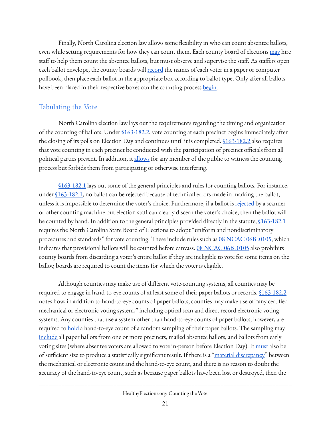Finally, North Carolina election law allows some flexibility in who can count absentee ballots, even while setting requirements for how they can count them. Each county board of elections [may](https://www.ncleg.gov/EnactedLegislation/Statutes/PDF/BySection/Chapter_163/GS_163-234.pdf) hire staff to help them count the absentee ballots, but must observe and supervise the staff. As staffers open each ballot envelope, the county boards will [record](https://www.ncleg.gov/EnactedLegislation/Statutes/PDF/BySection/Chapter_163/GS_163-234.pdf) the names of each voter in a paper or computer pollbook, then place each ballot in the appropriate box according to ballot type. Only after all ballots have been placed in their respective boxes can the counting process [begin](https://www.ncleg.gov/EnactedLegislation/Statutes/PDF/BySection/Chapter_163/GS_163-234.pdf).

### <span id="page-20-0"></span>Tabulating the Vote

North Carolina election law lays out the requirements regarding the timing and organization of the counting of ballots. Under [§163-182.2,](https://www.ncleg.gov/EnactedLegislation/Statutes/PDF/BySection/Chapter_163/GS_163-182.2.pdf) vote counting at each precinct begins immediately after the closing of its polls on Election Day and continues until it is completed. [§163-182.2](https://www.ncleg.gov/EnactedLegislation/Statutes/PDF/BySection/Chapter_163/GS_163-182.2.pdf) also requires that vote counting in each precinct be conducted with the participation of precinct officials from all political parties present. In addition, it [allows](https://www.ncleg.gov/EnactedLegislation/Statutes/PDF/BySection/Chapter_163/GS_163-182.2.pdf) for any member of the public to witness the counting process but forbids them from participating or otherwise interfering.

[§163-182.1](https://www.ncleg.gov/EnactedLegislation/Statutes/PDF/BySection/Chapter_163/GS_163-182.1.pdf) lays out some of the general principles and rules for counting ballots. For instance, under \$163-182.1, no ballot can be rejected because of technical errors made in marking the ballot, unless it is impossible to determine the voter's choice. Furthermore, if a ballot is [rejected](https://www.ncleg.gov/EnactedLegislation/Statutes/PDF/BySection/Chapter_163/GS_163-182.1.pdf) by a scanner or other counting machine but election staff can clearly discern the voter's choice, then the ballot will be counted by hand. In addition to the general principles provided directly in the statute, \$163-182.1 requires the North Carolina State Board of Elections to adopt "uniform and nondiscriminatory procedures and standards" for vote counting. These include rules such as [0](http://reports.oah.state.nc.us/ncac/title%2008%20-%20elections/chapter%2006%20-%20partisan%20elections/subchapter%20b/08%20ncac%2006b%20.0105.html)8 [NCAC](http://reports.oah.state.nc.us/ncac/title%2008%20-%20elections/chapter%2006%20-%20partisan%20elections/subchapter%20b/08%20ncac%2006b%20.0105.html) 06B .0105, which indicates that provisional ballots will be counted before canvass. 08 [NCAC](http://reports.oah.state.nc.us/ncac/title%2008%20-%20elections/chapter%2006%20-%20partisan%20elections/subchapter%20b/08%20ncac%2006b%20.0105.html) 06B .0105 also prohibits county boards from discarding a voter's entire ballot if they are ineligible to vote for some items on the ballot; boards are required to count the items for which the voter is eligible.

Although counties may make use of different vote-counting systems, all counties may be required to engage in hand-to-eye counts of at least some of their paper ballots or records. [§163-182.2](https://www.ncleg.gov/EnactedLegislation/Statutes/PDF/BySection/Chapter_163/GS_163-182.2.pdf) notes how, in addition to hand-to-eye counts of paper ballots, counties may make use of "any certified mechanical or electronic voting system," including optical scan and direct record electronic voting systems. Any counties that use a system other than hand-to-eye counts of paper ballots, however, are required to [hold](https://www.ncleg.gov/EnactedLegislation/Statutes/PDF/BySection/Chapter_163/GS_163-182.1.pdf) a hand-to-eye count of a random sampling of their paper ballots. The sampling may [include](https://www.ncleg.gov/EnactedLegislation/Statutes/PDF/BySection/Chapter_163/GS_163-182.1.pdf) all paper ballots from one or more precincts, mailed absentee ballots, and ballots from early voting sites (where absentee voters are allowed to vote in-person before Election Day). It [must](https://www.ncleg.gov/EnactedLegislation/Statutes/PDF/BySection/Chapter_163/GS_163-182.1.pdf) also be of sufficient size to produce a statistically significant result. If there is a "material [discrepancy"](https://www.ncleg.gov/EnactedLegislation/Statutes/PDF/BySection/Chapter_163/GS_163-182.1.pdf) between the mechanical or electronic count and the hand-to-eye count, and there is no reason to doubt the accuracy of the hand-to-eye count, such as because paper ballots have been lost or destroyed, then the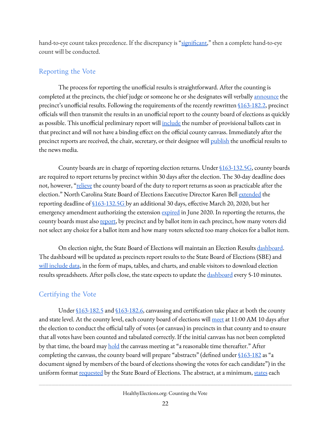hand-to-eye count takes precedence. If the discrepancy is "significant," then a complete hand-to-eye count will be conducted.

### <span id="page-21-0"></span>Reporting the Vote

The process for reporting the unofficial results is straightforward. After the counting is completed at the precincts, the chief judge or someone he or she designates will verbally [announce](http://reports.oah.state.nc.us/ncac/title%2008%20-%20elections/chapter%2006%20-%20partisan%20elections/subchapter%20b/08%20ncac%2006b%20.0105.pdf) the precinct's unofficial results. Following the requirements of the recently rewritten  $$163-182.2$ , precinct officials will then transmit the results in an unofficial report to the county board of elections as quickly as possible. This unofficial preliminary report will [include](https://www.ncleg.gov/Sessions/2019/Bills/House/PDF/H1169v8.pdf) the number of provisional ballots cast in that precinct and will not have a binding effect on the official county canvass. Immediately after the precinct reports are received, the chair, secretary, or their designee will [publish](https://files.nc.gov/ncoah/documents/Rules/NC-Register/Volume-34-Issue-01-July-1-2019.pdf) the unofficial results to the news media.

County boards are in charge of reporting election returns. Under [§163-132.5G,](https://www.ncleg.gov/Sessions/2019/Bills/House/PDF/H1169v8.pdf) county boards are required to report returns by precinct within 30 days after the election. The 30-day deadline does not, however, "[relieve](https://www.ncleg.gov/Sessions/2019/Bills/House/PDF/H1169v8.pdf) the county board of the duty to report returns as soon as practicable after the election." North Carolina State Board of Elections Executive Director Karen Bell [extended](https://s3.amazonaws.com/dl.ncsbe.gov/sboe/numbermemo/2020/Numbered%20Memo%202020-11_Coronavirus%20Response.pdf) the reporting deadline of  $163-132.5G$  by an additional 30 days, effective March 20, 2020, but her emergency amendment authorizing the extension [expired](http://reports.oah.state.nc.us/ncac/title%2008%20-%20elections/chapter%2001%20-%20departmental%20rules/08%20ncac%2001%20.0106.pdf) in June 2020. In reporting the returns, the county boards must also [report,](https://www.ncleg.gov/Sessions/2019/Bills/House/PDF/H1169v8.pdf) by precinct and by ballot item in each precinct, how many voters did not select any choice for a ballot item and how many voters selected too many choices for a ballot item.

On election night, the State Board of Elections will maintain an Election Results [dashboard.](https://er.ncsbe.gov/) The dashboard will be updated as precincts report results to the State Board of Elections (SBE) and will [include](https://www.ncsbe.gov/results-data/election-results/about-election-results-dashboard) data, in the form of maps, tables, and charts, and enable visitors to download election results spreadsheets. After polls close, the state expects to update the **[dashboard](https://er.ncsbe.gov/)** every 5-10 minutes.

# <span id="page-21-1"></span>Certifying the Vote

Under  $$163-182.5$  and  $$163-182.6$ , canvassing and certification take place at both the county and state level. At the county level, each county board of elections will [meet](https://www.ncleg.gov/EnactedLegislation/Statutes/PDF/BySection/Chapter_163/GS_163-182.5.pdf) at 11:00 AM 10 days after the election to conduct the official tally of votes (or canvass) in precincts in that county and to ensure that all votes have been counted and tabulated correctly. If the initial canvass has not been completed by that time, the board may [hold](https://www.ncleg.gov/EnactedLegislation/Statutes/PDF/BySection/Chapter_163/GS_163-182.5.pdf) the canvass meeting at "a reasonable time thereafter." After completing the canvass, the county board will prepare "abstracts" (defined under  $163-182$  as "a document signed by members of the board of elections showing the votes for each candidate") in the uniform format **[requested](https://www.ncleg.gov/EnactedLegislation/Statutes/PDF/BySection/Chapter_163/GS_163-182.6.pdf)** by the State Board of Elections. The abstract, at a minimum, [states](https://www.ncleg.gov/EnactedLegislation/Statutes/PDF/BySection/Chapter_163/GS_163-182.6.pdf) each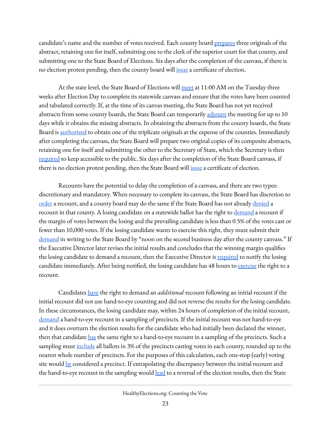candidate's name and the number of votes received. Each county board [prepares](https://www.ncleg.gov/EnactedLegislation/Statutes/PDF/BySection/Chapter_163/GS_163-182.6.pdf) three originals of the abstract, retaining one for itself, submitting one to the clerk of the superior court for that county, and submitting one to the State Board of Elections. Six days after the completion of the canvass, if there is no election protest pending, then the county board will *[issue](https://www.ncleg.gov/EnactedLegislation/Statutes/PDF/BySection/Chapter_163/GS_163-182.15.pdf)* a certificate of election.

At the state level, the State Board of Elections will [meet](https://www.ncleg.gov/EnactedLegislation/Statutes/PDF/BySection/Chapter_163/GS_163-182.5.pdf) at 11:00 AM on the Tuesday three weeks after Election Day to complete its statewide canvass and ensure that the votes have been counted and tabulated correctly. If, at the time of its canvas meeting, the State Board has not yet received abstracts from some county boards, the State Board can temporarily [adjourn](https://www.ncleg.gov/EnactedLegislation/Statutes/PDF/BySection/Chapter_163/GS_163-182.5.pdf) the meeting for up to 10 days while it obtains the missing abstracts. In obtaining the abstracts from the county boards, the State Board is **[authorized](https://www.ncleg.gov/EnactedLegislation/Statutes/PDF/BySection/Chapter_163/GS_163-182.5.pdf)** to obtain one of the triplicate originals at the expense of the counties. Immediately after completing the canvass, the State Board will prepare two original copies of its composite abstracts, retaining one for itself and submitting the other to the Secretary of State, which the Secretary is then [required](https://www.ncleg.gov/EnactedLegislation/Statutes/PDF/BySection/Chapter_163/GS_163-182.6.pdf) to keep accessible to the public. Six days after the completion of the State Board canvass, if there is no election protest pending, then the State Board will *[issue](https://www.ncleg.gov/EnactedLegislation/Statutes/PDF/BySection/Chapter_163/GS_163-182.15.pdf)* a certificate of election.

Recounts have the potential to delay the completion of a canvass, and there are two types: discretionary and mandatory. When necessary to complete its canvass, the State Board has discretion to [order](https://www.ncleg.gov/EnactedLegislation/Statutes/PDF/BySection/Chapter_163/GS_163-182.7.pdf) a recount, and a county board may do the same if the State Board has not already [denied](https://www.ncleg.gov/EnactedLegislation/Statutes/PDF/BySection/Chapter_163/GS_163-182.7.pdf) a recount in that county. A losing candidate on a statewide ballot has the right to [demand](https://www.ncleg.gov/EnactedLegislation/Statutes/PDF/BySection/Chapter_163/GS_163-182.7.pdf) a recount if the margin of votes between the losing and the prevailing candidate is less than 0.5% of the votes cast or fewer than 10,000 votes. If the losing candidate wants to exercise this right, they must submit their [demand](https://www.ncleg.gov/EnactedLegislation/Statutes/PDF/BySection/Chapter_163/GS_163-182.7.pdf) in writing to the State Board by "noon on the second business day after the county canvass." If the Executive Director later revises the initial results and concludes that the winning margin qualifies the losing candidate to demand a recount, then the Executive Director is [required](https://www.ncleg.gov/EnactedLegislation/Statutes/PDF/BySection/Chapter_163/GS_163-182.7.pdf) to notify the losing candidate immediately. After being notified, the losing candidate has 48 hours to [exercise](https://www.ncleg.gov/EnactedLegislation/Statutes/PDF/BySection/Chapter_163/GS_163-182.7.pdf) the right to a recount.

Candidates [have](https://www.ncleg.gov/EnactedLegislation/Statutes/PDF/BySection/Chapter_163/GS_163-182.7A.pdf) the right to demand an *additional* recount following an initial recount if the initial recount did not use hand-to-eye counting and did not reverse the results for the losing candidate. In these circumstances, the losing candidate may, within 24 hours of completion of the initial recount, [demand](https://www.ncleg.gov/EnactedLegislation/Statutes/PDF/BySection/Chapter_163/GS_163-182.7A.pdf) a hand-to-eye recount in a sampling of precincts. If the initial recount was not hand-to-eye and it does overturn the election results for the candidate who had initially been declared the winner, then that candidate [has](https://www.ncleg.gov/EnactedLegislation/Statutes/PDF/BySection/Chapter_163/GS_163-182.7A.pdf) the same right to a hand-to-eye recount in a sampling of the precincts. Such a sampling must [include](https://www.ncleg.gov/EnactedLegislation/Statutes/PDF/BySection/Chapter_163/GS_163-182.7A.pdf) all ballots in 3% of the precincts casting votes in each county, rounded up to the nearest whole number of precincts. For the purposes of this calculation, each one-stop (early) voting site would [be](https://www.ncleg.gov/EnactedLegislation/Statutes/PDF/BySection/Chapter_163/GS_163-182.7A.pdf) considered a precinct. If extrapolating the discrepancy between the initial recount and the hand-to-eye recount in the sampling would [lead](https://www.ncleg.gov/EnactedLegislation/Statutes/PDF/BySection/Chapter_163/GS_163-182.7A.pdf) to a reversal of the election results, then the State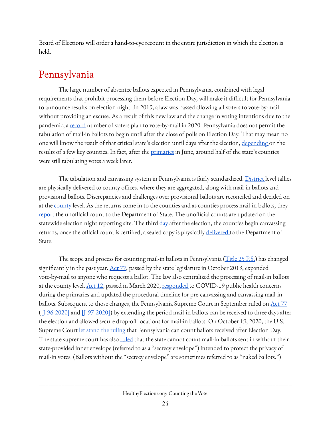Board of Elections will order a hand-to-eye recount in the entire jurisdiction in which the election is held.

# <span id="page-23-0"></span>Pennsylvania

The large number of absentee ballots expected in Pennsylvania, combined with legal requirements that prohibit processing them before Election Day, will make it difficult for Pennsylvania to announce results on election night. In 2019, a law was passed allowing all voters to vote-by-mail without providing an excuse. As a result of this new law and the change in voting intentions due to the pandemic, a [record](https://www.thedp.com/article/2020/09/philadelphia-selections-vote-by-mail-and-absentee-ballots) number of voters plan to vote-by-mail in 2020. Pennsylvania does not permit the tabulation of mail-in ballots to begin until after the close of polls on Election Day. That may mean no one will know the result of that critical state's election until days after the election, [depending](https://www.wsj.com/articles/mail-vote-madness-in-pennsylvania-11599865002) on the results of a few key counties. In fact, after the *[primaries](https://www.wsj.com/articles/mail-vote-madness-in-pennsylvania-11599865002)* in June, around half of the state's counties were still tabulating votes a week later.

The tabulation and canvassing system in Pennsylvania is fairly standardized. [District](https://govt.westlaw.com/pac/Document/N8B901C80747311EAB5E1942D1207E2E5?viewType=FullText&listSource=Search&originationContext=Search+Result&transitionType=SearchItem&contextData=(sc.Search)&navigationPath=Search%2fv1%2fresults%2fnavigation%2fi0ad62d2c00000174f1e43122fcbc8fa9%3fNav%3dSTATUTE_PUBLICVIEW%26fragmentIdentifier%3dN8B901C80747311EAB5E1942D1207E2E5%26startIndex%3d1%26transitionType%3dSearchItem%26contextData%3d%2528sc.Default%2529%26originationContext%3dSearch%2520Result&list=STATUTE_PUBLICVIEW&rank=1&t_querytext=Pennsylvania+Statutes+Title+25+P.S.+Elections+%26+Electoral+Districts+%c2%a7+3031.13.+Post+election+procedures&t_Method=WIN) level tallies are physically delivered to county offices, where they are aggregated, along with mail-in ballots and provisional ballots. Discrepancies and challenges over provisional ballots are reconciled and decided on at the [county](https://govt.westlaw.com/pac/Document/NE079CBD017FB11EA9B799CBCA5DC090C?viewType=FullText&originationContext=documenttoc&transitionType=CategoryPageItem&contextData=(sc.Default)) level. As the returns come in to the counties and as counties process mail-in ballots, they [report](https://www.dos.pa.gov/VotingElections/OtherServicesEvents/Documents/PADOS_Directive_BallotDefinitionandReportingRequirements_TLPWhite_1.1.pdf) the unofficial count to the Department of State. The unofficial counts are updated on the statewide election night reporting site. The third [day](https://govt.westlaw.com/pac/Document/NE079CBD017FB11EA9B799CBCA5DC090C?viewType=FullText&originationContext=documenttoc&transitionType=CategoryPageItem&contextData=(sc.Default)) after the election, the counties begin canvassing returns, once the official count is certified, a sealed copy is physically [delivered](https://www.votespa.com/About-Elections/Pages/Election-Security.aspx) to the Department of State.

The scope and process for counting mail-in ballots in Pennsylvania [\(Title](https://www.legis.state.pa.us/WU01/LI/LI/US/PDF/1937/0/0320..PDF) 25 P.S.) has changed significantly in the past year.  $\Delta$ ct 77, passed by the state legislature in October 2019, expanded vote-by-mail to anyone who requests a ballot. The law also centralized the processing of mail-in ballots at the county level. <u>[Act](https://www.legis.state.pa.us/cfdocs/Legis/LI/uconsCheck.cfm?txtType=HTM&yr=2020&sessInd=0&smthLwInd=0&act=12) 12</u>, passed in March 2020, [responded](https://www.governor.pa.gov/newsroom/gov-wolf-signs-covid-19-response-bills-to-bolster-health-care-system-workers-and-education-and-reschedule-the-primary-election/) to COVID-19 public health concerns during the primaries and updated the procedural timeline for pre-canvassing and canvassing mail-in ballots. Subsequent to those changes, the Pennsylvania Supreme Court in September ruled on <u>[Act](https://www.legis.state.pa.us/cfdocs/legis/li/uconsCheck.cfm?yr=2019&sessInd=0&act=77) 77</u> ([\[J-96-2020\]](http://www.pacourts.us/assets/opinions/Supreme/out/J-96-2020mo%20-%20104548450113066639.pdf?cb=1) and [\[J-97-2020\]](http://www.pacourts.us/assets/opinions/Supreme/out/J-97-2020pco%20-%20104548480113068412.pdf?cb=1)) by extending the period mail-in ballots can be received to three days after the election and allowed secure drop-off locations for mail-in ballots. On October 19, 2020, the U.S. Supreme Court let stand the [ruling](https://www.nytimes.com/2020/10/19/us/supreme-court-pennsylvania-voting.html) that Pennsylvania can count ballots received after Election Day. The state supreme court has also [ruled](https://www.nbcnews.com/politics/2020-election/naked-ballots-explained-pennsylvania-new-court-ruling-complicates-mail-voting-n1241017) that the state cannot count mail-in ballots sent in without their state-provided inner envelope (referred to as a "secrecy envelope") intended to protect the privacy of mail-in votes. (Ballots without the "secrecy envelope" are sometimes referred to as "naked ballots.")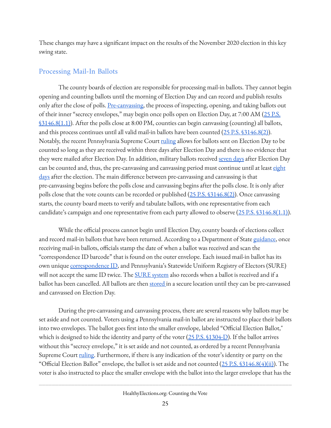These changes may have a significant impact on the results of the November 2020 election in this key swing state.

#### <span id="page-24-0"></span>Processing Mail-In Ballots

The county boards of election are responsible for processing mail-in ballots. They cannot begin opening and counting ballots until the morning of Election Day and can record and publish results only after the close of polls. [Pre-canvassing,](https://www.legis.state.pa.us/cfdocs/Legis/LI/uconsCheck.cfm?txtType=HTM&yr=2020&sessInd=0&smthLwInd=0&act=12) the process of inspecting, opening, and taking ballots out of their inner "secrecy envelopes," may begin once polls open on Election Day, at 7:00 AM (25 [P.S.](https://govt.westlaw.com/pac/Document/N87078720747311EA9442A8B1D44F01DC?viewType=FullText&listSource=Search&originationContext=Search+Result&transitionType=SearchItem&contextData=(sc.Search)&navigationPath=Search%2fv1%2fresults%2fnavigation%2fi0ad62d2e00000174f1effef72b2d237b%3fNav%3dSTATUTE_PUBLICVIEW%26fragmentIdentifier%3dN87078720747311EA9442A8B1D44F01DC%26startIndex%3d1%26transitionType%3dSearchItem%26contextData%3d%2528sc.Default%2529%26originationContext%3dSearch%2520Result&list=STATUTE_PUBLICVIEW&rank=1&t_querytext=Pennsylvania+Statutes+Canvassing+of+Official+Absentee+Ballots+and+Mail-in+Ballots&t_Method=WIN) [§3146.8\(1.1\)](https://govt.westlaw.com/pac/Document/N87078720747311EA9442A8B1D44F01DC?viewType=FullText&listSource=Search&originationContext=Search+Result&transitionType=SearchItem&contextData=(sc.Search)&navigationPath=Search%2fv1%2fresults%2fnavigation%2fi0ad62d2e00000174f1effef72b2d237b%3fNav%3dSTATUTE_PUBLICVIEW%26fragmentIdentifier%3dN87078720747311EA9442A8B1D44F01DC%26startIndex%3d1%26transitionType%3dSearchItem%26contextData%3d%2528sc.Default%2529%26originationContext%3dSearch%2520Result&list=STATUTE_PUBLICVIEW&rank=1&t_querytext=Pennsylvania+Statutes+Canvassing+of+Official+Absentee+Ballots+and+Mail-in+Ballots&t_Method=WIN)). After the polls close at 8:00 PM, counties can begin canvassing (counting) all ballots, and this process continues until all valid mail-in ballots have been counted (25 P.S. [§3146.8\(2\)](https://govt.westlaw.com/pac/Document/N87078720747311EA9442A8B1D44F01DC?viewType=FullText&listSource=Search&originationContext=Search+Result&transitionType=SearchItem&contextData=(sc.Search)&navigationPath=Search%2fv1%2fresults%2fnavigation%2fi0ad62d2e00000174f1effef72b2d237b%3fNav%3dSTATUTE_PUBLICVIEW%26fragmentIdentifier%3dN87078720747311EA9442A8B1D44F01DC%26startIndex%3d1%26transitionType%3dSearchItem%26contextData%3d%2528sc.Default%2529%26originationContext%3dSearch%2520Result&list=STATUTE_PUBLICVIEW&rank=1&t_querytext=Pennsylvania+Statutes+Canvassing+of+Official+Absentee+Ballots+and+Mail-in+Ballots&t_Method=WIN)). Notably, the recent Pennsylvania Supreme Court [ruling](http://www.pacourts.us/assets/opinions/Supreme/out/J-96-2020mo%20-%20104548450113066639.pdf?cb=1) allows for ballots sent on Election Day to be counted so long as they are received within three days after Election Day and there is no evidence that they were mailed after Election Day. In addition, military ballots received [seven](https://www.dos.pa.gov/VotingElections/OtherServicesEvents/Documents/DOS%20Guidance%20Civilian%20Absentee%20and%20Mail-In%20Ballot%20Procedures.pdf) days after Election Day can be counted and, thus, the pre-canvassing and canvassing period must continue until at least [eight](https://www.dos.pa.gov/VotingElections/OtherServicesEvents/Documents/DOS%20Guidance%20Civilian%20Absentee%20and%20Mail-In%20Ballot%20Procedures.pdf) [days](https://www.dos.pa.gov/VotingElections/OtherServicesEvents/Documents/DOS%20Guidance%20Civilian%20Absentee%20and%20Mail-In%20Ballot%20Procedures.pdf) after the election. The main difference between pre-canvassing and canvassing is that pre-canvassing begins before the polls close and canvassing begins after the polls close. It is only after polls close that the vote counts can be recorded or published (25 P.S. [§3146.8\(2\)\)](https://govt.westlaw.com/pac/Document/N87078720747311EA9442A8B1D44F01DC?viewType=FullText&listSource=Search&originationContext=Search+Result&transitionType=SearchItem&contextData=(sc.Search)&navigationPath=Search%2fv1%2fresults%2fnavigation%2fi0ad62d2e00000174f1effef72b2d237b%3fNav%3dSTATUTE_PUBLICVIEW%26fragmentIdentifier%3dN87078720747311EA9442A8B1D44F01DC%26startIndex%3d1%26transitionType%3dSearchItem%26contextData%3d%2528sc.Default%2529%26originationContext%3dSearch%2520Result&list=STATUTE_PUBLICVIEW&rank=1&t_querytext=Pennsylvania+Statutes+Canvassing+of+Official+Absentee+Ballots+and+Mail-in+Ballots&t_Method=WIN). Once canvassing starts, the county board meets to verify and tabulate ballots, with one representative from each candidate's campaign and one representative from each party allowed to observe  $(25 \text{ P.S. } §3146.8(1.1))$  $(25 \text{ P.S. } §3146.8(1.1))$  $(25 \text{ P.S. } §3146.8(1.1))$ .

While the official process cannot begin until Election Day, county boards of elections collect and record mail-in ballots that have been returned. According to a Department of State [guidance](https://www.dos.pa.gov/VotingElections/OtherServicesEvents/Documents/Examination%20of%20Absentee%20and%20Mail-In%20Ballot%20Return%20Envelopes.pdf), once receiving mail-in ballots, officials stamp the date of when a ballot was received and scan the "correspondence ID barcode" that is found on the outer envelope. Each issued mail-in ballot has its own unique [correspondence](https://www.dos.pa.gov/VotingElections/OtherServicesEvents/Documents/Examination%20of%20Absentee%20and%20Mail-In%20Ballot%20Return%20Envelopes.pdf) ID, and Pennsylvania's Statewide Uniform Registry of Electors (SURE) will not accept the same ID twice. The **SURE** [system](https://www.dos.pa.gov/VotingElections/OtherServicesEvents/Documents/Examination%20of%20Absentee%20and%20Mail-In%20Ballot%20Return%20Envelopes.pdf) also records when a ballot is received and if a ballot has been cancelled. All ballots are then [stored](https://www.dos.pa.gov/VotingElections/OtherServicesEvents/Documents/Examination%20of%20Absentee%20and%20Mail-In%20Ballot%20Return%20Envelopes.pdf) in a secure location until they can be pre-canvassed and canvassed on Election Day.

During the pre-canvassing and canvassing process, there are several reasons why ballots may be set aside and not counted. Voters using a Pennsylvania mail-in ballot are instructed to place their ballots into two envelopes. The ballot goes first into the smaller envelope, labeled "Official Election Ballot," which is designed to hide the identity and party of the voter  $(25 \text{ P.S. } \$1304\text{ -D})$ . If the ballot arrives without this "secrecy envelope," it is set aside and not counted, as ordered by a recent Pennsylvania Supreme Court [ruling.](http://www.pacourts.us/assets/opinions/Supreme/out/J-96-2020mo%20-%20104548450113066639.pdf?cb=1) Furthermore, if there is any indication of the voter's identity or party on the "Official Election Ballot" envelope, the ballot is set aside and not counted  $(25 \text{ P.S. } \S 3146.8(4)(ii))$ . The voter is also instructed to place the smaller envelope with the ballot into the larger envelope that has the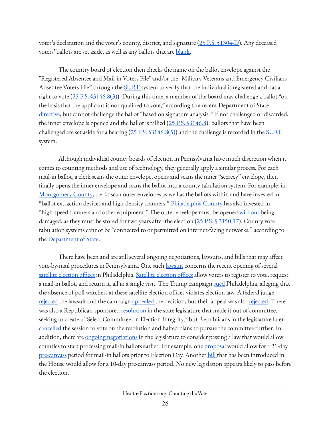voter's declaration and the voter's county, district, and signature (25 P.S. [§1304-D](https://www.legis.state.pa.us/cfdocs/legis/li/uconsCheck.cfm?yr=2019&sessInd=0&act=77)). Any deceased voters' ballots are set aside, as well as any ballots that are [blank](https://www.dos.pa.gov/VotingElections/OtherServicesEvents/Documents/DOS%20Guidance%20Civilian%20Absentee%20and%20Mail-In%20Ballot%20Procedures.pdf).

The country board of election then checks the name on the ballot envelope against the "Registered Absentee and Mail-in Voters File" and/or the "Military Veterans and Emergency Civilians Absentee Voters File" through the **[SURE](https://www.dos.pa.gov/VotingElections/OtherServicesEvents/Documents/Examination%20of%20Absentee%20and%20Mail-In%20Ballot%20Return%20Envelopes.pdf)** system to verify that the individual is registered and has a right to vote  $(25 \text{ P.S. } \S 3146.8(\S))$ . During this time, a member of the board may challenge a ballot "on the basis that the applicant is not qualified to vote," according to a recent Department of State [directive,](https://www.dos.pa.gov/VotingElections/OtherServicesEvents/Documents/DOS%20Guidance%20Civilian%20Absentee%20and%20Mail-In%20Ballot%20Procedures.pdf) but cannot challenge the ballot "based on signature analysis." If not challenged or discarded, the inner envelope is opened and the ballot is tallied  $(25 P.S. \S 3146.8)$ . Ballots that have been challenged are set aside for a hearing  $(25 \text{ P.S. } \text{63146.8(5)})$  and the challenge is recorded in the [SURE](https://www.dos.pa.gov/VotingElections/OtherServicesEvents/Documents/Examination%20of%20Absentee%20and%20Mail-In%20Ballot%20Return%20Envelopes.pdf) system.

Although individual county boards of election in Pennsylvania have much discretion when it comes to counting methods and use of technology, they generally apply a similar process. For each mail-in ballot, a clerk scans the outer envelope, opens and scans the inner "secrecy" envelope, then finally opens the inner envelope and scans the ballot into a county tabulation system. For example, in [Montgomery](https://www.nbcphiladelphia.com/news/politics/decision-2020/heres-how-pa-is-preparing-for-the-presidential-election-in-november/2515837/) County, clerks scan outer envelopes as well as the ballots within and have invested in "ballot extraction devices and high-density scanners." [Philadelphia](https://www.nbcphiladelphia.com/news/politics/decision-2020/why-cant-mail-in-ballots-be-counted-ahead-of-election-day-in-pa-politics-in-harrisburg/2543334/) County has also invested in "high-speed scanners and other equipment." The outer envelope must be opened [without](https://www.dos.pa.gov/VotingElections/OtherServicesEvents/Documents/DOS%20Guidance%20Civilian%20Absentee%20and%20Mail-In%20Ballot%20Procedures.pdf) being damaged, as they must be stored for two years after the election (25 P.S. § [3150.17\)](https://govt.westlaw.com/pac/Document/N77E77521747311EA9A86C317701AC68E?viewType=FullText&listSource=Search&originationContext=Search+Result&transitionType=SearchItem&contextData=(sc.Search)&navigationPath=Search%2fv1%2fresults%2fnavigation%2fi0ad62d2c00000175255cf742bb74f717%3fNav%3dSTATUTE_PUBLICVIEW%26fragmentIdentifier%3dN77E77521747311EA9A86C317701AC68E%26startIndex%3d1%26transitionType%3dSearchItem%26contextData%3d%2528sc.Default%2529%26originationContext%3dSearch%2520Result&list=STATUTE_PUBLICVIEW&rank=5&t_querytext=Pennsylvania+election+Public+Records&t_Method=WIN). County vote tabulation systems cannot be "connected to or permitted on internet-facing networks," according to the [Department](https://www.votespa.com/About-Elections/Pages/Election-Security.aspx) of State.

There have been and are still several ongoing negotiations, lawsuits, and bills that may affect vote-by-mail procedures in Pennsylvania. One such *[lawsuit](https://whyy.org/articles/trump-campaign-says-it-plans-to-sue-over-poll-watchers-in-philly-satellite-offices/)* concerns the recent opening of several satellite [election](https://www.votespa.com/Voting-in-PA/Pages/Early-Voting.aspx) offices in Philadelphia. Satellite election offices allow voters to register to vote, request a mail-in ballot, and return it, all in a single visit. The Trump campaign [sued](https://whyy.org/articles/trump-campaign-says-it-plans-to-sue-over-poll-watchers-in-philly-satellite-offices/) Philadelphia, alleging that the absence of poll watchers at these satellite election offices violates election law. A federal judge [rejected](https://www.attorneygeneral.gov/wp-content/uploads/2020/10/decision-in-trump-campaign-v-pa.pdf) the lawsuit and the campaign [appealed](https://philadelphia.cbslocal.com/2020/10/12/trump-campaign-appeals-after-judge-denies-poll-watchers-access-to-philadelphia-satellite-election-centers/) the decision, but their appeal was also [rejected.](https://apnews.com/article/donald-trump-pennsylvania-lawsuits-philadelphia-elections-bda443784ff186c0b4b661be5be2a65f) There was also a Republican-sponsored [resolution](https://www.legis.state.pa.us/cfdocs/billInfo/billInfo.cfm?sYear=2019&sInd=0&body=H&type=R&bn=1032) in the state legislature that made it out of committee, seeking to create a "Select Committee on Election Integrity," but Republicans in the legislature later [cancelled](https://www.post-gazette.com/news/politics-state/2020/10/09/Pennsylvania-House-GOP-drops-election-integrity-plan/stories/202010090172) the session to vote on the resolution and halted plans to pursue the committee further. In addition, there are ongoing [negotiations](https://www.mcall.com/news/elections/mc-nws-pa-election-count-could-take-days-boockvar-20200923-ecku2oqgszgtjapk6oz4vlkpua-story.html) in the legislature to consider passing a law that would allow counties to start processing mail-in ballots earlier. For example, one [proposal](https://www.legis.state.pa.us/cfdocs/Legis/CSM/showMemoPublic.cfm?chamber=S&SPick=20190&cosponId=31939) would allow for a 21-day [pre-canvass](https://www.pewtrusts.org/en/research-and-analysis/blogs/stateline/2020/08/28/fearing-delays-and-chaos-swing-states-weigh-early-counting-of-mail-in-ballots) period for mail-in ballots prior to Election Day. Another [bill](https://www.legis.state.pa.us/cfdocs/billInfo/BillInfo.cfm?syear=2019&sind=0&body=H&type=B&bn=2916) that has been introduced in the House would allow for a 10-day pre-canvass period. No new legislation appears likely to pass before the election.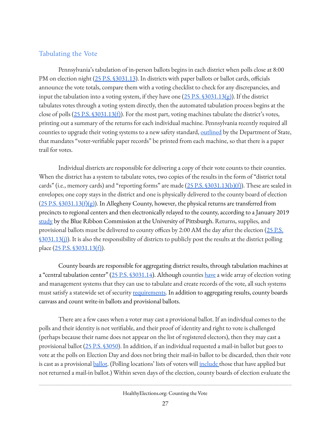#### <span id="page-26-0"></span>Tabulating the Vote

Pennsylvania's tabulation of in-person ballots begins in each district when polls close at 8:00 PM on election night (25 P.S. [§3031.13](https://govt.westlaw.com/pac/Document/N8B901C80747311EAB5E1942D1207E2E5?viewType=FullText&listSource=Search&originationContext=Search+Result&transitionType=SearchItem&contextData=(sc.Search)&navigationPath=Search%2fv1%2fresults%2fnavigation%2fi0ad62d2c00000174f1e43122fcbc8fa9%3fNav%3dSTATUTE_PUBLICVIEW%26fragmentIdentifier%3dN8B901C80747311EAB5E1942D1207E2E5%26startIndex%3d1%26transitionType%3dSearchItem%26contextData%3d%2528sc.Default%2529%26originationContext%3dSearch%2520Result&list=STATUTE_PUBLICVIEW&rank=1&t_querytext=Pennsylvania+Statutes+Title+25+P.S.+Elections+%26+Electoral+Districts+%c2%a7+3031.13.+Post+election+procedures&t_Method=WIN)). In districts with paper ballots or ballot cards, officials announce the vote totals, compare them with a voting checklist to check for any discrepancies, and input the tabulation into a voting system, if they have one  $(25 \text{ P.S. } §3031.13(g))$  $(25 \text{ P.S. } §3031.13(g))$  $(25 \text{ P.S. } §3031.13(g))$ . If the district tabulates votes through a voting system directly, then the automated tabulation process begins at the close of polls  $(25 \text{ P.S. } §3031.13(f))$  $(25 \text{ P.S. } §3031.13(f))$ . For the most part, voting machines tabulate the district's votes, printing out a summary of the returns for each individual machine. Pennsylvania recently required all counties to upgrade their voting systems to a new safety standard, [outlined](https://www.votespa.com/About-Elections/Pages/New-Voting-Systems.aspx) by the Department of State, that mandates "voter-verifiable paper records" be printed from each machine, so that there is a paper trail for votes.

Individual districts are responsible for delivering a copy of their vote counts to their counties. When the district has a system to tabulate votes, two copies of the results in the form of "district total cards" (i.e., memory cards) and "reporting forms" are made  $(25 P.S. \S 3031.13(b)(f))$ . These are sealed in envelopes; one copy stays in the district and one is physically delivered to the county board of election  $(25 \text{ P.S. } $3031.13(f)(g))$ . In Allegheny County, however, the physical returns are transferred from precincts to regional centers and then electronically relayed to the county, according to a January 2019 [study](https://www.cyber.pitt.edu/sites/default/files/FINAL%20FULL%20PittCyber_PAs_Election_Security_Report_0.pdf) by the Blue Ribbon Commission at the University of Pittsburgh. Returns, supplies, and provisional ballots must be delivered to county offices by 2:00 AM the day after the election (25 [P.S.](https://govt.westlaw.com/pac/Document/N8B901C80747311EAB5E1942D1207E2E5?viewType=FullText&listSource=Search&originationContext=Search+Result&transitionType=SearchItem&contextData=(sc.Search)&navigationPath=Search%2fv1%2fresults%2fnavigation%2fi0ad62d2c00000174f1e43122fcbc8fa9%3fNav%3dSTATUTE_PUBLICVIEW%26fragmentIdentifier%3dN8B901C80747311EAB5E1942D1207E2E5%26startIndex%3d1%26transitionType%3dSearchItem%26contextData%3d%2528sc.Default%2529%26originationContext%3dSearch%2520Result&list=STATUTE_PUBLICVIEW&rank=1&t_querytext=Pennsylvania+Statutes+Title+25+P.S.+Elections+%26+Electoral+Districts+%c2%a7+3031.13.+Post+election+procedures&t_Method=WIN) [§3031.13\(j\)](https://govt.westlaw.com/pac/Document/N8B901C80747311EAB5E1942D1207E2E5?viewType=FullText&listSource=Search&originationContext=Search+Result&transitionType=SearchItem&contextData=(sc.Search)&navigationPath=Search%2fv1%2fresults%2fnavigation%2fi0ad62d2c00000174f1e43122fcbc8fa9%3fNav%3dSTATUTE_PUBLICVIEW%26fragmentIdentifier%3dN8B901C80747311EAB5E1942D1207E2E5%26startIndex%3d1%26transitionType%3dSearchItem%26contextData%3d%2528sc.Default%2529%26originationContext%3dSearch%2520Result&list=STATUTE_PUBLICVIEW&rank=1&t_querytext=Pennsylvania+Statutes+Title+25+P.S.+Elections+%26+Electoral+Districts+%c2%a7+3031.13.+Post+election+procedures&t_Method=WIN)). It is also the responsibility of districts to publicly post the results at the district polling place (25 P.S. [§3031.13\(f\)\)](https://govt.westlaw.com/pac/Document/N8B901C80747311EAB5E1942D1207E2E5?viewType=FullText&listSource=Search&originationContext=Search+Result&transitionType=SearchItem&contextData=(sc.Search)&navigationPath=Search%2fv1%2fresults%2fnavigation%2fi0ad62d2c00000174f1e43122fcbc8fa9%3fNav%3dSTATUTE_PUBLICVIEW%26fragmentIdentifier%3dN8B901C80747311EAB5E1942D1207E2E5%26startIndex%3d1%26transitionType%3dSearchItem%26contextData%3d%2528sc.Default%2529%26originationContext%3dSearch%2520Result&list=STATUTE_PUBLICVIEW&rank=1&t_querytext=Pennsylvania+Statutes+Title+25+P.S.+Elections+%26+Electoral+Districts+%c2%a7+3031.13.+Post+election+procedures&t_Method=WIN).

County boards are responsible for aggregating district results, through tabulation machines at a "central tabulation center" (25 [P.S.](https://govt.westlaw.com/pac/Document/NE8ACBC40343011DA8A989F4EECDB8638?viewType=FullText&listSource=Search&originationContext=Search+Result&transitionType=SearchItem&contextData=(sc.Search)&navigationPath=Search%2fv1%2fresults%2fnavigation%2fi0ad62d2e00000174f1bf3f942b2d21fa%3fNav%3dSTATUTE_PUBLICVIEW%26fragmentIdentifier%3dNE8ACBC40343011DA8A989F4EECDB8638%26startIndex%3d1%26transitionType%3dSearchItem%26contextData%3d%2528sc.Default%2529%26originationContext%3dSearch%2520Result&list=STATUTE_PUBLICVIEW&rank=1&t_querytext=Pennsylvania+Statutes+Title+25+P.S.+Elections+%26+Electoral+Districts+%c2%a7+3031.14.+Returns&t_Method=WIN) [§3031.14\)](https://govt.westlaw.com/pac/Document/NE8ACBC40343011DA8A989F4EECDB8638?viewType=FullText&listSource=Search&originationContext=Search+Result&transitionType=SearchItem&contextData=(sc.Search)&navigationPath=Search%2fv1%2fresults%2fnavigation%2fi0ad62d2e00000174f1bf3f942b2d21fa%3fNav%3dSTATUTE_PUBLICVIEW%26fragmentIdentifier%3dNE8ACBC40343011DA8A989F4EECDB8638%26startIndex%3d1%26transitionType%3dSearchItem%26contextData%3d%2528sc.Default%2529%26originationContext%3dSearch%2520Result&list=STATUTE_PUBLICVIEW&rank=1&t_querytext=Pennsylvania+Statutes+Title+25+P.S.+Elections+%26+Electoral+Districts+%c2%a7+3031.14.+Returns&t_Method=WIN). Although counties [have](https://www.dos.pa.gov/VotingElections/OtherServicesEvents/Pages/Voting-Systems.aspx) a wide array of election voting and management systems that they can use to tabulate and create records of the vote, all such systems must satisfy a statewide set of security [requirements.](https://www.votespa.com/About-Elections/Pages/Election-Security.aspx) In addition to aggregating results, county boards canvass and count write-in ballots and provisional ballots.

There are a few cases when a voter may cast a provisional ballot. If an individual comes to the polls and their identity is not verifiable, and their proof of identity and right to vote is challenged (perhaps because their name does not appear on the list of registered electors), then they may cast a provisional ballot (25 P.S. [§3050\)](https://govt.westlaw.com/pac/Document/N79CB7761747311EA9442A8B1D44F01DC?viewType=FullText&listSource=Search&originationContext=Search+Result&transitionType=SearchItem&contextData=(sc.Search)&navigationPath=Search%2fv1%2fresults%2fnavigation%2fi0ad62d2e00000174f1c1b9b12b2d220a%3fNav%3dSTATUTE_PUBLICVIEW%26fragmentIdentifier%3dN79CB7761747311EA9442A8B1D44F01DC%26startIndex%3d1%26transitionType%3dSearchItem%26contextData%3d%2528sc.Default%2529%26originationContext%3dSearch%2520Result&list=STATUTE_PUBLICVIEW&rank=1&t_querytext=25+P.S.+%c2%a73050&t_Method=WIN). In addition, if an individual requested a mail-in ballot but goes to vote at the polls on Election Day and does not bring their mail-in ballot to be discarded, then their vote is cast as a provisional **ballot**. (Polling locations' lists of voters will [include](https://www.dos.pa.gov/VotingElections/OtherServicesEvents/Documents/DOS%20Guidance%20Civilian%20Absentee%20and%20Mail-In%20Ballot%20Procedures.pdf) those that have applied but not returned a mail-in ballot.) Within seven days of the election, county boards of election evaluate the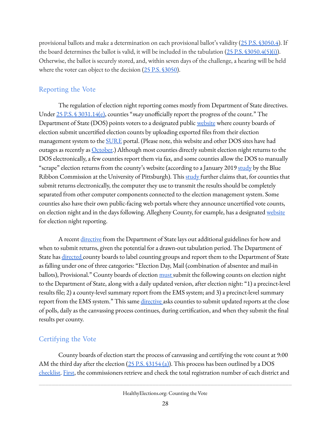provisional ballots and make a determination on each provisional ballot's validity (25 [P.S.](https://govt.westlaw.com/pac/Document/N79CB7761747311EA9442A8B1D44F01DC?viewType=FullText&listSource=Search&originationContext=Search+Result&transitionType=SearchItem&contextData=(sc.Search)&navigationPath=Search%2fv1%2fresults%2fnavigation%2fi0ad62d2e00000174f1c1b9b12b2d220a%3fNav%3dSTATUTE_PUBLICVIEW%26fragmentIdentifier%3dN79CB7761747311EA9442A8B1D44F01DC%26startIndex%3d1%26transitionType%3dSearchItem%26contextData%3d%2528sc.Default%2529%26originationContext%3dSearch%2520Result&list=STATUTE_PUBLICVIEW&rank=1&t_querytext=25+P.S.+%c2%a73050&t_Method=WIN) §[3050.4](https://govt.westlaw.com/pac/Document/N79CB7761747311EA9442A8B1D44F01DC?viewType=FullText&listSource=Search&originationContext=Search+Result&transitionType=SearchItem&contextData=(sc.Search)&navigationPath=Search%2fv1%2fresults%2fnavigation%2fi0ad62d2e00000174f1c1b9b12b2d220a%3fNav%3dSTATUTE_PUBLICVIEW%26fragmentIdentifier%3dN79CB7761747311EA9442A8B1D44F01DC%26startIndex%3d1%26transitionType%3dSearchItem%26contextData%3d%2528sc.Default%2529%26originationContext%3dSearch%2520Result&list=STATUTE_PUBLICVIEW&rank=1&t_querytext=25+P.S.+%c2%a73050&t_Method=WIN)). If the board determines the ballot is valid, it will be included in the tabulation  $(25 P.S. \S 3050.4(5)(i))$  $(25 P.S. \S 3050.4(5)(i))$  $(25 P.S. \S 3050.4(5)(i))$  $(25 P.S. \S 3050.4(5)(i))$ . Otherwise, the ballot is securely stored, and, within seven days of the challenge, a hearing will be held where the voter can object to the decision (25 P.S. [§3050\)](https://govt.westlaw.com/pac/Document/N79CB7761747311EA9442A8B1D44F01DC?viewType=FullText&listSource=Search&originationContext=Search+Result&transitionType=SearchItem&contextData=(sc.Search)&navigationPath=Search%2fv1%2fresults%2fnavigation%2fi0ad62d2e00000174f1c1b9b12b2d220a%3fNav%3dSTATUTE_PUBLICVIEW%26fragmentIdentifier%3dN79CB7761747311EA9442A8B1D44F01DC%26startIndex%3d1%26transitionType%3dSearchItem%26contextData%3d%2528sc.Default%2529%26originationContext%3dSearch%2520Result&list=STATUTE_PUBLICVIEW&rank=1&t_querytext=25+P.S.+%c2%a73050&t_Method=WIN).

# <span id="page-27-0"></span>Reporting the Vote

The regulation of election night reporting comes mostly from Department of State directives. Under 25 [P.S.](https://govt.westlaw.com/pac/Document/NE8ACBC40343011DA8A989F4EECDB8638?viewType=FullText&listSource=Search&originationContext=Search+Result&transitionType=SearchItem&contextData=(sc.Search)&navigationPath=Search%2fv1%2fresults%2fnavigation%2fi0ad62d2e00000174f1bf3f942b2d21fa%3fNav%3dSTATUTE_PUBLICVIEW%26fragmentIdentifier%3dNE8ACBC40343011DA8A989F4EECDB8638%26startIndex%3d1%26transitionType%3dSearchItem%26contextData%3d%2528sc.Default%2529%26originationContext%3dSearch%2520Result&list=STATUTE_PUBLICVIEW&rank=1&t_querytext=Pennsylvania+Statutes+Title+25+P.S.+Elections+%26+Electoral+Districts+%c2%a7+3031.14.+Returns&t_Method=WIN) § [3031.14\(e\)](https://govt.westlaw.com/pac/Document/NE8ACBC40343011DA8A989F4EECDB8638?viewType=FullText&listSource=Search&originationContext=Search+Result&transitionType=SearchItem&contextData=(sc.Search)&navigationPath=Search%2fv1%2fresults%2fnavigation%2fi0ad62d2e00000174f1bf3f942b2d21fa%3fNav%3dSTATUTE_PUBLICVIEW%26fragmentIdentifier%3dNE8ACBC40343011DA8A989F4EECDB8638%26startIndex%3d1%26transitionType%3dSearchItem%26contextData%3d%2528sc.Default%2529%26originationContext%3dSearch%2520Result&list=STATUTE_PUBLICVIEW&rank=1&t_querytext=Pennsylvania+Statutes+Title+25+P.S.+Elections+%26+Electoral+Districts+%c2%a7+3031.14.+Returns&t_Method=WIN), counties "*may* unofficially report the progress of the count." The Department of State (DOS) points voters to a designated public [website](https://electionreturns.pa.gov/Home/SummaryResults) where county boards of election submit uncertified election counts by uploading exported files from their election management system to the **[SURE](https://www.dos.pa.gov/VotingElections/OtherServicesEvents/Documents/PADOS_Directive_BallotDefinitionandReportingRequirements_TLPWhite_1.1.pdf)** portal. (Please note, this website and other DOS sites have had outages as recently as **[October](https://www.media.pa.gov/Pages/State-details.aspx?newsid=407)**.) Although most counties directly submit election night returns to the DOS electronically, a few counties report them via fax, and some counties allow the DOS to manually "scrape" election returns from the county's website (according to a January 2019 [study](https://www.cyber.pitt.edu/sites/default/files/FINAL%20FULL%20PittCyber_PAs_Election_Security_Report_0.pdf) by the Blue Ribbon Commission at the University of Pittsburgh). This [study](https://www.cyber.pitt.edu/sites/default/files/FINAL%20FULL%20PittCyber_PAs_Election_Security_Report_0.pdf) further claims that, for counties that submit returns electronically, the computer they use to transmit the results should be completely separated from other computer components connected to the election management system. Some counties also have their own public-facing web portals where they announce uncertified vote counts, on election night and in the days following. Allegheny County, for example, has a designated [website](https://results.enr.clarityelections.com/PA/Allegheny/92253/Web02.216033/#/) for election night reporting.

A recent [directive](https://www.dos.pa.gov/VotingElections/OtherServicesEvents/Documents/PADOS_Directive_BallotDefinitionandReportingRequirements_TLPWhite_1.1.pdf) from the Department of State lays out additional guidelines for how and when to submit returns, given the potential for a drawn-out tabulation period. The Department of State has [directed](https://www.dos.pa.gov/VotingElections/OtherServicesEvents/Documents/PADOS_Directive_BallotDefinitionandReportingRequirements_TLPWhite_1.1.pdf) county boards to label counting groups and report them to the Department of State as falling under one of three categories: "Election Day, Mail (combination of absentee and mail-in ballots), Provisional." County boards of election [must](https://www.dos.pa.gov/VotingElections/OtherServicesEvents/Documents/PADOS_Directive_BallotDefinitionandReportingRequirements_TLPWhite_1.1.pdf) submit the following counts on election night to the Department of State, along with a daily updated version, after election night: "1) a precinct-level results file; 2) a county-level summary report from the EMS system; and 3) a precinct-level summary report from the EMS system." This same *[directive](https://www.dos.pa.gov/VotingElections/OtherServicesEvents/Documents/PADOS_Directive_BallotDefinitionandReportingRequirements_TLPWhite_1.1.pdf)* asks counties to submit updated reports at the close of polls, daily as the canvassing process continues, during certification, and when they submit the final results per county.

# <span id="page-27-1"></span>Certifying the Vote

County boards of election start the process of canvassing and certifying the vote count at 9:00 AM the third day after the election  $(25 P.S. \S 3154 (a))$  $(25 P.S. \S 3154 (a))$  $(25 P.S. \S 3154 (a))$  $(25 P.S. \S 3154 (a))$  $(25 P.S. \S 3154 (a))$ . This process has been outlined by a DOS [checklist.](https://www.dos.pa.gov/VotingElections/OtherServicesEvents/Documents/DOS%20Post-election%20Reconciliation_November%202016.pdf) [First](https://www.dos.pa.gov/VotingElections/OtherServicesEvents/Documents/DOS%20Post-election%20Reconciliation_November%202016.pdf), the commissioners retrieve and check the total registration number of each district and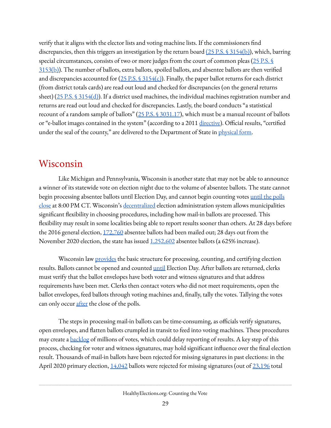verify that it aligns with the elector lists and voting machine lists. If the commissioners find discrepancies, then this triggers an investigation by the return board  $(25 \text{ P.S. } \frac{6 \text{ 3154(b)}}{2})$ , which, barring special circumstances, consists of two or more judges from the court of common pleas  $(25 \text{ P.S.} \text{S})$  $(25 \text{ P.S.} \text{S})$  $(25 \text{ P.S.} \text{S})$  $3153(b)$ ). The number of ballots, extra ballots, spoiled ballots, and absentee ballots are then verified and discrepancies accounted for  $(25 \text{ P.S. } \frac{63154(c)}{c})$  $(25 \text{ P.S. } \frac{63154(c)}{c})$  $(25 \text{ P.S. } \frac{63154(c)}{c})$ . Finally, the paper ballot returns for each district (from district totals cards) are read out loud and checked for discrepancies (on the general returns sheet)  $(25 P.S. \S 3154(d))$  $(25 P.S. \S 3154(d))$  $(25 P.S. \S 3154(d))$ . If a district used machines, the individual machines registration number and returns are read out loud and checked for discrepancies. Lastly, the board conducts "a statistical recount of a random sample of ballots" (25 P.S. § [3031.17](https://govt.westlaw.com/pac/Document/NE8D7C3E0343011DA8A989F4EECDB8638?viewType=FullText&originationContext=documenttoc&transitionType=CategoryPageItem&contextData=(sc.Default))), which must be a manual recount of ballots or "e-ballot images contained in the system" (according to a 2011 [directive](https://www.dos.pa.gov/VotingElections/Documents/Voting%20Systems/Directives/EVS%20Usage%20Directive.pdf)). Official results, "certified under the seal of the county," are delivered to the Department of State in [physical](https://www.votespa.com/About-Elections/Pages/Election-Security.aspx) form.

# <span id="page-28-0"></span>Wisconsin

Like Michigan and Pennsylvania, Wisconsin is another state that may not be able to announce a winner of its statewide vote on election night due to the volume of absentee ballots. The state cannot begin processing absentee ballots until Election Day, and cannot begin counting votes until the [polls](https://docs.legis.wisconsin.gov/document/statutes/2009/7.51(1)) [close](https://docs.legis.wisconsin.gov/document/statutes/2009/7.51(1))at 8:00 PM CT. Wisconsin's [decentralized](https://elections.wi.gov/clerks/education-training/election-administration-manual) election administration system allows municipalities significant flexibility in choosing procedures, including how mail-in ballots are processed. This flexibility may result in some localities being able to report results sooner than others. At 28 days before the 2016 general election, [172,760](https://elections.wi.gov/node/4242) absentee ballots had been mailed out; 28 days out from the November 2020 election, the state has issued [1,252,602](https://elections.wi.gov/node/7158) absentee ballots (a 625% increase).

Wisconsin law **[provides](https://docs.legis.wisconsin.gov/statutes/statutes/6/iv/88)** the basic structure for processing, counting, and certifying election results. Ballots cannot be opened and counted <u>[until](https://docs.legis.wisconsin.gov/document/statutes/2009/7.52(1)(a))</u> Election Day. After ballots are returned, clerks must verify that the ballot envelopes have both voter and witness signatures and that address requirements have been met. Clerks then contact voters who did not meet requirements, open the ballot envelopes, feed ballots through voting machines and, finally, tally the votes. Tallying the votes can only occur [after](https://docs.legis.wisconsin.gov/document/statutes/2009/7.51(1)) the close of the polls.

The steps in processing mail-in ballots can be time-consuming, as officials verify signatures, open envelopes, and flatten ballots crumpled in transit to feed into voting machines. These procedures may create a **[backlog](https://www.politico.com/news/2020/09/15/swing-states-election-vote-count-michigan-pennsylvania-wisconsin-414465)** of millions of votes, which could delay reporting of results. A key step of this process, checking for voter and witness signatures, may hold significant influence over the final election result. Thousands of mail-in ballots have been rejected for missing signatures in past elections: in the April 2020 primary election, [14,042](https://elections.wi.gov/sites/elections.wi.gov/files/2020-05/Exhibit%20A%20Absentee%20Voting%20Data%202016-2020.pdf) ballots were rejected for missing signatures (out of [23,196](https://elections.wi.gov/sites/elections.wi.gov/files/2020-05/Exhibit%20A%20Absentee%20Voting%20Data%202016-2020.pdf) total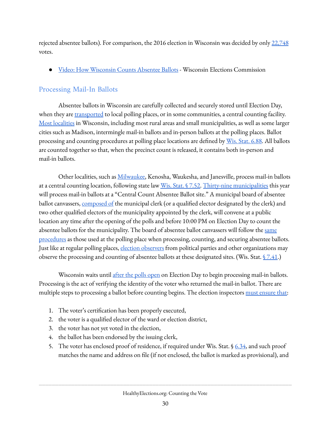rejected absentee ballots). For comparison, the 2016 election in Wisconsin was decided by only [22,748](https://www.nytimes.com/elections/2016/results/wisconsin) votes.

Video: How [Wisconsin](https://vimeo.com/456719681) Counts Absentee Ballots - Wisconsin Elections Commission

# <span id="page-29-0"></span>Processing Mail-In Ballots

Absentee ballots in Wisconsin are carefully collected and securely stored until Election Day, when they are [transported](https://elections.wi.gov/voters/how-wisconsin-delivers-secure-and-accurate-elections) to local polling places, or in some communities, a central counting facility. Most [localities](https://elections.wi.gov/clerks/guidance/central-count-absentee) in Wisconsin, including most rural areas and small municipalities, as well as some larger cities such as Madison, intermingle mail-in ballots and in-person ballots at the polling places. Ballot processing and counting procedures at polling place locations are defined by Wis. [Stat.](https://docs.legis.wisconsin.gov/statutes/statutes/6/iv/88) 6.88. All ballots are counted together so that, when the precinct count is released, it contains both in-person and mail-in ballots.

Other localities, such as *[Milwaukee](https://urbanmilwaukee.com/2020/04/10/inside-milwaukees-vote-counting-operation/)*, Kenosha, Waukesha, and Janesville, process mail-in ballots at a central counting location, following state law  $W$ is. [Stat.](https://docs.legis.wisconsin.gov/statutes/statutes/7/ii/52) § 7.52. Thirty-nine [municipalities](https://elections.wi.gov/clerks/guidance/central-count-absentee) this year will process mail-in ballots at a "Central Count Absentee Ballot site." A municipal board of absentee ballot canvassers, <u>[composed](https://docs.legis.wisconsin.gov/document/statutes/7.53(2m)(b)) of</u> the municipal clerk (or a qualified elector designated by the clerk) and two other qualified electors of the municipality appointed by the clerk, will convene at a public location any time after the opening of the polls and before 10:00 PM on Election Day to count the absentee ballots for the municipality. The board of absentee ballot canvassers will follow the [same](https://docs.legis.wisconsin.gov/document/statutes/7.52(3)(a)) [procedures](https://docs.legis.wisconsin.gov/document/statutes/7.52(3)(a)) as those used at the polling place when processing, counting, and securing absentee ballots. Just like at regular polling places, election [observers](https://elections.wi.gov/sites/elections.wi.gov/files/2019-01/election_observer_rules_at_a_glance_2018_pdf_78847.pdf) from political parties and other organizations may observe the processing and counting of absentee ballots at these designated sites. (Wis. Stat.  $\S 7.41$ .)

Wisconsin waits until after the polls [open](https://www.ncsl.org/research/elections-and-campaigns/vopp-table-16-when-absentee-mail-ballot-processing-and-counting-can-begin.aspx) on Election Day to begin processing mail-in ballots. Processing is the act of verifying the identity of the voter who returned the mail-in ballot. There are multiple steps to processing a ballot before counting begins. The election inspectors must [ensure](https://docs.legis.wisconsin.gov/document/statutes/6.88(3)) that:

- 1. The voter's certification has been properly executed,
- 2. the voter is a qualified elector of the ward or election district,
- 3. the voter has not yet voted in the election,
- 4. the ballot has been endorsed by the issuing clerk,
- 5. The voter has enclosed proof of residence, if required under Wis. Stat.  $\frac{6.34}{1.34}$  $\frac{6.34}{1.34}$  $\frac{6.34}{1.34}$ , and such proof matches the name and address on file (if not enclosed, the ballot is marked as provisional), and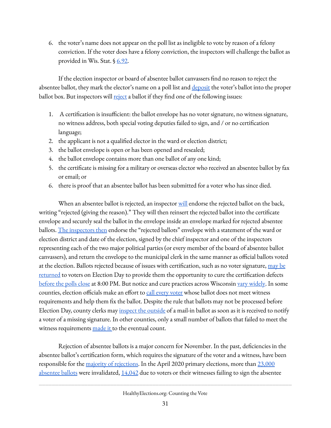6. the voter's name does not appear on the poll list as ineligible to vote by reason of a felony conviction. If the voter does have a felony conviction, the inspectors will challenge the ballot as provided in Wis. Stat. § [6.92.](https://docs.legis.wisconsin.gov/document/statutes/6.92)

If the election inspector or board of absentee ballot canvassers find no reason to reject the absentee ballot, they mark the elector's name on a poll list and [deposit](https://docs.legis.wisconsin.gov/document/statutes/6.88(3)(a)) the voter's ballot into the proper ballot box. But inspectors will [reject](https://docs.legis.wisconsin.gov/document/statutes/6.88(3)(b)) a ballot if they find one of the following issues:

- 1. A certification is insufficient: the ballot envelope has no voter signature, no witness signature, no witness address, both special voting deputies failed to sign, and / or no certification language;
- 2. the applicant is not a qualified elector in the ward or election district;
- 3. the ballot envelope is open or has been opened and resealed;
- 4. the ballot envelope contains more than one ballot of any one kind;
- 5. the certificate is missing for a military or overseas elector who received an absentee ballot by fax or email; or
- 6. there is proof that an absentee ballot has been submitted for a voter who has since died.

When an absentee ballot is rejected, an inspector [will](https://docs.legis.wisconsin.gov/document/statutes/6.88(3)(b)) endorse the rejected ballot on the back, writing "rejected (giving the reason)." They will then reinsert the rejected ballot into the certificate envelope and securely seal the ballot in the envelope inside an envelope marked for rejected absentee ballots. The [inspectors](https://docs.legis.wisconsin.gov/document/statutes/6.88(3)(b)) then endorse the "rejected ballots" envelope with a statement of the ward or election district and date of the election, signed by the chief inspector and one of the inspectors representing each of the two major political parties (or every member of the board of absentee ballot canvassers), and return the envelope to the municipal clerk in the same manner as official ballots voted at the election. Ballots rejected because of issues with certification, such as no voter signature, [may](https://docs.legis.wisconsin.gov/document/statutes/6.87(9)) be <u>[returned](https://docs.legis.wisconsin.gov/document/statutes/6.87(9))</u> to voter[s](https://docs.legis.wisconsin.gov/document/statutes/6.87(6)) on Election Day to provide them the opportunity to cure the certification defects [before](https://docs.legis.wisconsin.gov/document/statutes/6.87(6)) the polls close at [8:00](https://elections.wi.gov/sites/elections.wi.gov/files/2020-03/Absentee%20Ballot%20Organization%20and%20Processing%20Tips.pdf) PM. But notice and cure practices across Wisconsin vary [widely](https://www.reuters.com/article/us-usa-election-absentee-ballots-special/special-report-will-your-mail-ballot-count-in-the-u-s-presidential-election-it-may-depend-on-whos-counting-and-where-idUSKCN26G1EJ). In some counties, election officials make an effort to call [every](https://www.reuters.com/article/us-usa-election-absentee-ballots-special/special-report-will-your-mail-ballot-count-in-the-u-s-presidential-election-it-may-depend-on-whos-counting-and-where-idUSKCN26G1EJ) voter whose ballot does not meet witness requirements and help them fix the ballot. Despite the rule that ballots may not be processed before Election Day, county clerks may inspect the [outside](https://www.nytimes.com/interactive/2020/10/13/us/politics/when-votes-counted.html) of a mail-in ballot as soon as it is received to notify a voter of a missing signature. In other counties, only a small number of ballots that failed to meet the witness requirements [made](https://www.reuters.com/article/us-usa-election-absentee-ballots-special/special-report-will-your-mail-ballot-count-in-the-u-s-presidential-election-it-may-depend-on-whos-counting-and-where-idUSKCN26G1EJ) it to the eventual count.

Rejection of absentee ballots is a major concern for November. In the past, deficiencies in the absentee ballot's certification form, which requires the signature of the voter and a witness, have been responsible for the majority of [rejections.](https://elections.wi.gov/sites/elections.wi.gov/files/2020-05/Exhibit%20A%20Absentee%20Voting%20Data%202016-2020.pdf) In the April 2020 primary elections, more than [23,000](https://madison.com/wsj/news/local/govt-and-politics/wisconsin-absentee-ballots-may-pose-issues-for-2020-election/article_98df3edd-13d4-561e-b612-a27e5ddbd2ac.html) [absentee](https://madison.com/wsj/news/local/govt-and-politics/wisconsin-absentee-ballots-may-pose-issues-for-2020-election/article_98df3edd-13d4-561e-b612-a27e5ddbd2ac.html) ballots were invalidated,  $14,042$  due to voters or their witnesses failing to sign the absentee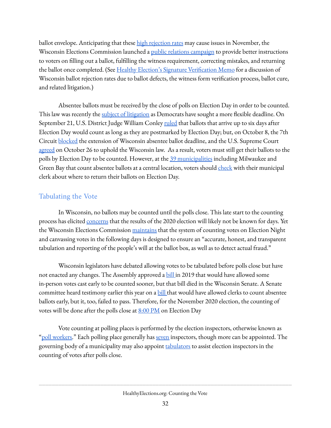ballot envelope. Anticipating that these high [rejection](https://www.wuwm.com/post/how-wisconsins-23000-rejected-absentee-ballots-could-spell-trouble-november-election#stream/0) rates may cause issues in November, the Wisconsin Elections Commission launched a public relations [campaign](https://elections.wi.gov/forms/voters-uniform-instructions) to provide better instructions to voters on lling out a ballot, fullling the witness requirement, correcting mistakes, and returning the ballot once completed. (See Healthy Election's Signature Verification Memo for a discussion of Wisconsin ballot rejection rates due to ballot defects, the witness form verification process, ballot cure, and related litigation.)

Absentee ballots must be received by the close of polls on Election Day in order to be counted. This law was recently the *subject of [litigation](https://apnews.com/article/election-2020-wisconsin-elections-us-supreme-court-courts-9f58fae97f3296c1a318f9f1082cf198)* as Democrats have sought a more flexible deadline. On September 21, U.S. District Judge William Conley [ruled](https://www.marketwatch.com/story/federal-appeals-court-upholds-wisconsins-ballot-counting-extension-01601421067) that ballots that arrive up to six days after Election Day would count as long as they are postmarked by Election Day; but, on October 8, the 7th Circuit **[blocked](https://apnews.com/article/election-2020-wisconsin-elections-courts-voting-2020-d2e673d8ac950d2ebd964c69a03e99af)** the extension of Wisconsin absentee ballot deadline, and the U.S. Supreme Court [agreed](https://www.jsonline.com/story/news/politics/elections/2020/10/26/u-s-supreme-court-declines-change-wisconsins-voting-rules/3670662001/) on October 26 to uphold the Wisconsin law. As a result, voters must still get their ballots to the polls by Election Day to be counted. However, at the 39 [municipalities](https://elections.wi.gov/clerks/guidance/central-count-absentee) including Milwaukee and Green Bay that count absentee ballots at a central location, voters should [check](https://elections.wi.gov/node/7039) with their municipal clerk about where to return their ballots on Election Day.

### <span id="page-31-0"></span>Tabulating the Vote

In Wisconsin, no ballots may be counted until the polls close. This late start to the counting process has elicited [concerns](https://www.politico.com/news/2020/09/15/swing-states-election-vote-count-michigan-pennsylvania-wisconsin-414465) that the results of the 2020 election will likely not be known for days. Yet the Wisconsin Elections Commission [maintains](https://elections.wi.gov/elections-voting/recount) that the system of counting votes on Election Night and canvassing votes in the following days is designed to ensure an "accurate, honest, and transparent tabulation and reporting of the people's will at the ballot box, as well as to detect actual fraud."

Wisconsin legislators have debated allowing votes to be tabulated before polls close but have not enacted any changes. The Assembly approved a **[bill](https://docs.legis.wisconsin.gov/2019/proposals/reg/asm/bill/ab203)** in 2019 that would have allowed some in-person votes cast early to be counted sooner, but that bill died in the Wisconsin Senate. A Senate committee heard testimony earlier this year on a **[bill](https://docs.legis.wisconsin.gov/2019/proposals/sb574)** that would have allowed clerks to count absentee ballots early, but it, too, failed to pass. Therefore, for the November 2020 election, the counting of votes will be done after the polls close at [8:00](https://docs.legis.wisconsin.gov/document/statutes/6.78) PM on Election Day

Vote counting at polling places is performed by the election inspectors, otherwise known as "<u>poll workers</u>." Each polling place generally has <u>[seven](https://docs.legis.wisconsin.gov/document/statutes/7.30(1)(a))</u> inspectors, though more can be appointed. The governing body of a municipality may also appoint **[tabulators](https://docs.legis.wisconsin.gov/document/statutes/7.30(3))** to assist election inspectors in the counting of votes after polls close.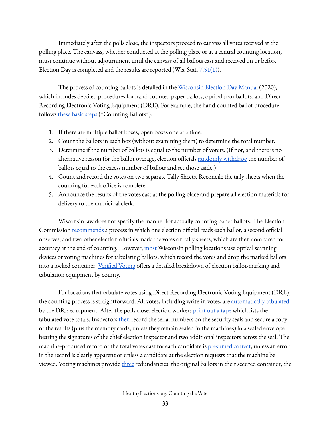Immediately after the polls close, the inspectors proceed to canvass all votes received at the polling place. The canvass, whether conducted at the polling place or at a central counting location, must continue without adjournment until the canvass of all ballots cast and received on or before Election Day is completed and the results are reported (Wis. Stat.  $7.51(1)$ ).

The process of counting ballots is detailed in the [Wisconsin](https://elections.wi.gov/sites/elections.wi.gov/files/2020-09/Election%20Day%20Manual%20%282020-09%29_0.pdf) Election Day Manual (2020), which includes detailed procedures for hand-counted paper ballots, optical scan ballots, and Direct Recording Electronic Voting Equipment (DRE). For example, the hand-counted ballot procedure follows [these](https://elections.wi.gov/sites/elections.wi.gov/files/2020-09/Election%20Day%20Manual%20%282020-09%29_0.pdf) basic steps ("Counting Ballots"):

- 1. If there are multiple ballot boxes, open boxes one at a time.
- 2. Count the ballots in each box (without examining them) to determine the total number.
- 3. Determine if the number of ballots is equal to the number of voters. (If not, and there is no alternative reason for the ballot overage, election officials [randomly](https://docs.legis.wisconsin.gov/document/statutes/7.51(2)(e)) withdraw the number of ballots equal to the excess number of ballots and set those aside.)
- 4. Count and record the votes on two separate Tally Sheets. Reconcile the tally sheets when the counting for each office is complete.
- 5. Announce the results of the votes cast at the polling place and prepare all election materials for delivery to the municipal clerk.

Wisconsin law does not specify the manner for actually counting paper ballots. The Election Commission [recommends](https://elections.wi.gov/sites/elections.wi.gov/files/2020-09/Election%20Day%20Manual%20%282020-09%29_0.pdf) a process in which one election official reads each ballot, a second official observes, and two other election officials mark the votes on tally sheets, which are then compared for accuracy at the end of counting. However, **[most](https://elections.wi.gov/elections-voting/recount)** Wisconsin polling locations use optical scanning devices or voting machines for tabulating ballots, which record the votes and drop the marked ballots into a locked container. Verified Voting offers a detailed breakdown of election ballot-marking and tabulation equipment by county.

For locations that tabulate votes using Direct Recording Electronic Voting Equipment (DRE), the counting process is straightforward. All votes, including write-in votes, are [automatically](https://elections.wi.gov/sites/elections.wi.gov/files/2020-09/Election%20Day%20Manual%20%282020-09%29_0.pdf) tabulated by the DRE equipment. After the polls close, election workers [print](https://docs.legis.wisconsin.gov/document/statutes/7.51(2)(g)) out a tape which lists the tabulated vote totals. Inspectors [then](https://elections.wi.gov/sites/elections.wi.gov/files/2020-09/Election%20Day%20Manual%20%282020-09%29_0.pdf) record the serial numbers on the security seals and secure a copy of the results (plus the memory cards, unless they remain sealed in the machines) in a sealed envelope bearing the signatures of the chief election inspector and two additional inspectors across the seal. The machine-produced record of the total votes cast for each candidate is **[presumed](https://docs.legis.wisconsin.gov/document/statutes/7.51(2)(h)) correct**, unless an error in the record is clearly apparent or unless a candidate at the election requests that the machine be viewed. Voting machines provide [three](https://elections.wi.gov/elections-voting/recount) redundancies: the original ballots in their secured container, the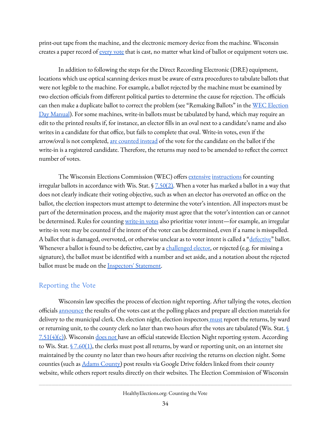print-out tape from the machine, and the electronic memory device from the machine. Wisconsin creates a paper record of [every](https://elections.wi.gov/voters/how-wisconsin-delivers-secure-and-accurate-elections) vote that is cast, no matter what kind of ballot or equipment voters use.

In addition to following the steps for the Direct Recording Electronic (DRE) equipment, locations which use optical scanning devices must be aware of extra procedures to tabulate ballots that were not legible to the machine. For example, a ballot rejected by the machine must be examined by two election officials from different political parties to determine the cause for rejection. The officials can then make a duplicate ballot to correct the problem (see "Remaking Ballots" in the WEC [Election](https://elections.wi.gov/sites/elections.wi.gov/files/2020-09/Election%20Day%20Manual%20%282020-09%29_0.pdf) Day [Manual](https://elections.wi.gov/sites/elections.wi.gov/files/2020-09/Election%20Day%20Manual%20%282020-09%29_0.pdf)). For some machines, write-in ballots must be tabulated by hand, which may require an edit to the printed results if, for instance, an elector fills in an oval next to a candidate's name and also writes in a candidate for that office, but fails to complete that oval. Write-in votes, even if the arrow/oval is not completed, are [counted](https://elections.wi.gov/sites/elections.wi.gov/files/2020-09/Election%20Day%20Manual%20%282020-09%29_0.pdf) instead of the vote for the candidate on the ballot if the write-in is a registered candidate. Therefore, the returns may need to be amended to reflect the correct number of votes.

The Wisconsin Elections Commission (WEC) offers [extensive](https://elections.wi.gov/sites/default/files/publication/65/counting_spring_pri_gen_elections_rev_2018_02_p_14494.pdf) [instructions](https://elections.wi.gov/sites/elections.wi.gov/files/2020-09/Election%20Day%20Manual%20%282020-09%29_0.pdf) for counting irregular ballots in accordance with Wis. Stat. §  $7.50(2)$ . When a voter has marked a ballot in a way that does not clearly indicate their voting objective, such as when an elector has overvoted an office on the ballot, the election inspectors must attempt to determine the voter's intention. All inspectors must be part of the determination process, and the majority must agree that the voter's intention can or cannot be determined. Rules for counting [write-in](https://elections.wi.gov/sites/default/files/publication/65/counting_spring_pri_gen_elections_rev_2018_02_p_14494.pdf) votes also prioritize voter intent—for example, an irregular write-in vote may be counted if the intent of the voter can be determined, even if a name is misspelled. A ballot that is damaged, overvoted, or otherwise unclear as to voter intent is called a ["defective"](https://elections.wi.gov/sites/elections.wi.gov/files/2020-09/Election%20Day%20Manual%20%282020-09%29_0.pdf) ballot. Whenever a ballot is found to be defective, cast by a [challenged](https://docs.legis.wisconsin.gov/document/statutes/7.51(2)(c)) elector, or rejected (e.g. for missing a signature), the ballot must be identified with a number and set aside, and a notation about the rejected ballot must be made on the **[Inspectors'](https://docs.legis.wisconsin.gov/document/statutes/7.52(4)(d)) Statement**.

#### <span id="page-33-0"></span>Reporting the Vote

Wisconsin law specifies the process of election night reporting. After tallying the votes, election officials announce the results of the votes cast at the polling places and prepare all election materials for delivery to the municipal clerk. On election night, election inspectors [must](https://docs.legis.wisconsin.gov/statutes/statutes/7/ii/51) report the returns, by ward or returning unit, to the county clerk no later than two hours after the votes are tabulated (Wis. Stat. [§](https://docs.legis.wisconsin.gov/document/statutes/7.51(4)(c))  $7.51(4)(c)$ ). Wisconsin [does](https://elections.wi.gov/node/6291) not have an official statewide Election Night reporting system. According to Wis. Stat.  $\frac{67.60(1)}{2}$  $\frac{67.60(1)}{2}$  $\frac{67.60(1)}{2}$ , the clerks must post all returns, by ward or reporting unit, on an internet site maintained by the county no later than two hours after receiving the returns on election night. [Some](https://elections.wi.gov/clerks/directory/county-websites) [counties](https://elections.wi.gov/clerks/directory/county-websites) (such as **Adams [County](https://drive.google.com/drive/folders/1zvtvRGiY6L-ztxSmD9wTVdYEMUU4Mbaj)**) post results via [Google](https://elections.wi.gov/clerks/directory/county-websites) Drive folders linked from their county website, while others report results directly on their websites. The Election [Commission](https://elections.wi.gov/clerks/directory/county-websites) of Wisconsin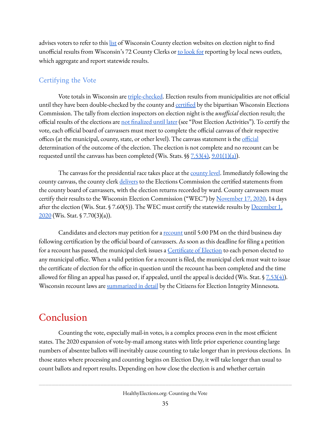[advises](https://elections.wi.gov/clerks/directory/county-websites) voters to refer to this [list](https://elections.wi.gov/clerks/directory/county-websites) of Wisconsin County election websites on election night to find unofficial results from Wisconsin's 72 County Clerks or to [look](https://elections.wi.gov/node/6291) for reporting by local news outlets, which aggregate and report statewide results[.](https://elections.wi.gov/clerks/directory/county-websites)

# <span id="page-34-0"></span>Certifying the Vote

Vote totals in Wisconsin are [triple-checked](https://elections.wi.gov/voters/how-wisconsin-delivers-secure-and-accurate-elections). Election results from municipalities are not official until they have been double-checked by the county and certified by the bipartisan Wisconsin Elections Commission. The tally from election inspectors on election night is the *unofficial* election result; the official results of the elections are not fi[nalized](https://elections.wi.gov/sites/elections.wi.gov/files/2020-09/Election%20Administration%20Manual%20%282020-09%29.pdf) until later (see "Post Election Activities"). To certify the vote, each official board of canvassers must meet to complete the official canvass of their respective offices (at the municipal, county, state, or other level). The canvass statement is the official determination of the outcome of the election. The election is not complete and no recount can be requested until the canvass has been completed (Wis. Stats.  $\frac{557(4)}{2.53(4)}$ ,  $\frac{9.01(1)(a)}{2}$  $\frac{9.01(1)(a)}{2}$  $\frac{9.01(1)(a)}{2}$ ).

The canvass for the presidential race takes place at the <u>[county](https://docs.legis.wisconsin.gov/document/statutes/7.60(5)(a)) level</u>. Immediately following the county canvass, the county clerk [delivers](https://docs.legis.wisconsin.gov/document/statutes/7.60(5)(a)) to the Elections Commission the certified statements from the county board of canvassers, with the election returns recorded by ward. County canvassers must certify their results to the Wisconsin Election Commission ("WEC") by [November](https://elections.wi.gov/sites/elections.wi.gov/files/2020-08/2020%20Calendar%20of%20Election%20Events%20PDF%20%28rev%2008-20-2020%29_0.pdf) 17, 2020, 14 days after the election (Wis. Stat. § 7.60(5)). The WEC must certify the statewide results by [December](https://elections.wi.gov/sites/elections.wi.gov/files/2020-08/2020%20Calendar%20of%20Election%20Events%20PDF%20%28rev%2008-20-2020%29_0.pdf) 1,  $2020$  (Wis. Stat. § 7.70(3)(a)).

Candidates and electors may petition for a <u>[recount](https://docs.legis.wisconsin.gov/document/statutes/9.01)</u> until 5:00 PM on the third business day following certification by the official board of canvassers. As soon as this deadline for filing a petition for a recount has passed, the municipal clerk issues a **Certificate of Election** to each person elected to any municipal office. When a valid petition for a recount is filed, the municipal clerk must wait to issue the certificate of election for the office in question until the recount has been completed and the time allowed for filing an appeal has passed or, if appealed, until the appeal is decided (Wis. Stat. §  $7.53(4)$ ). Wisconsin recount laws are [summarized](https://ceimn.org/searchable-databases/recount-database/wisconsin) in detail by the Citizens for Election Integrity Minnesota.

# <span id="page-34-1"></span>Conclusion

Counting the vote, especially mail-in votes, is a complex process even in the most efficient states. The 2020 expansion of vote-by-mail among states with little prior experience counting large numbers of absentee ballots will inevitably cause counting to take longer than in previous elections. In those states where processing and counting begins on Election Day, it will take longer than usual to count ballots and report results. Depending on how close the election is and whether certain